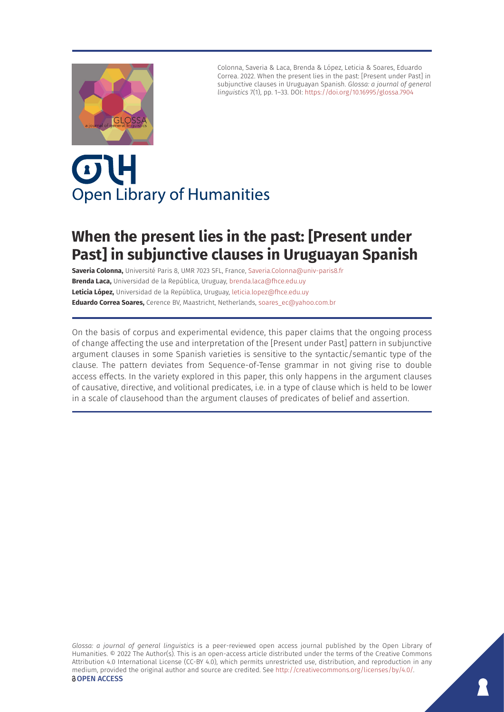

Colonna, Saveria & Laca, Brenda & López, Leticia & Soares, Eduardo Correa. 2022. When the present lies in the past: [Present under Past] in subjunctive clauses in Uruguayan Spanish. *Glossa: a journal of general linguistics* 7(1), pp. 1–33. DOI:<https://doi.org/10.16995/glossa.7904>

# OL **Open Library of Humanities**

# **When the present lies in the past: [Present under Past] in subjunctive clauses in Uruguayan Spanish**

**Saveria Colonna,** Université Paris 8, UMR 7023 SFL, France, [Saveria.Colonna@univ-paris8.fr](mailto:Saveria.Colonna@univ-paris8.fr) **Brenda Laca,** Universidad de la República, Uruguay, [brenda.laca@fhce.edu.uy](mailto:brenda.laca@fhce.edu.uy) **Leticia López,** Universidad de la República, Uruguay, [leticia.lopez@fhce.edu.uy](mailto:leticia.lopez@fhce.edu.uy) **Eduardo Correa Soares,** Cerence BV, Maastricht, Netherlands, [soares\\_ec@yahoo.com.br](mailto:soares_ec@yahoo.com.br)

On the basis of corpus and experimental evidence, this paper claims that the ongoing process of change affecting the use and interpretation of the [Present under Past] pattern in subjunctive argument clauses in some Spanish varieties is sensitive to the syntactic/semantic type of the clause. The pattern deviates from Sequence-of-Tense grammar in not giving rise to double access effects. In the variety explored in this paper, this only happens in the argument clauses of causative, directive, and volitional predicates, i.e. in a type of clause which is held to be lower in a scale of clausehood than the argument clauses of predicates of belief and assertion.

*Glossa: a journal of general linguistics* is a peer-reviewed open access journal published by the Open Library of Humanities. © 2022 The Author(s). This is an open-access article distributed under the terms of the Creative Commons Attribution 4.0 International License (CC-BY 4.0), which permits unrestricted use, distribution, and reproduction in any medium, provided the original author and source are credited. See <http://creativecommons.org/licenses/by/4.0/>. **OPEN ACCESS**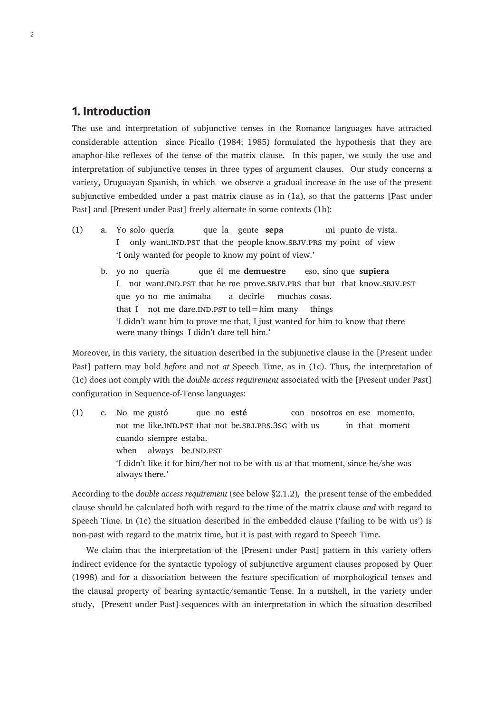# **1. Introduction**

The use and interpretation of subjunctive tenses in the Romance languages have attracted considerable attention since Picallo (1984; 1985) formulated the hypothesis that they are anaphor-like reflexes of the tense of the matrix clause. In this paper, we study the use and interpretation of subjunctive tenses in three types of argument clauses. Our study concerns a variety, Uruguayan Spanish, in which we observe a gradual increase in the use of the present subjunctive embedded under a past matrix clause as in (1a), so that the patterns [Past under Past] and [Present under Past] freely alternate in some contexts (1b):

- (1) a. Yo solo quería que la gente **sepa** mi punto de vista. I only want. IND.PST that the people know. SBJV.PRS my point of view 'I only wanted for people to know my point of view.'
	- b. yo no quería que él me **demuestre** eso, sino que **supiera** I not want.ind.pst that he me prove.sbjv.prs that but that know.sbjv.pst que yo no me animaba a decirle muchas cosas. that I not me dare. IND. PST to tell = him many things 'I didn't want him to prove me that, I just wanted for him to know that there were many things I didn't dare tell him.'

Moreover, in this variety, the situation described in the subjunctive clause in the [Present under Past] pattern may hold *before* and not *at* Speech Time, as in (1c). Thus, the interpretation of (1c) does not comply with the *double access requirement* associated with the [Present under Past] configuration in Sequence-of-Tense languages:

(1) c. No me gustó que no **esté** con nosotros en ese momento, not me like.IND.PST that not be.SBJ.PRS.3SG with us in that moment cuando siempre estaba. when always be.IND.PST 'I didn't like it for him/her not to be with us at that moment, since he/she was always there.'

According to the *double access requirement* (see below §2.1.2)*,* the present tense of the embedded clause should be calculated both with regard to the time of the matrix clause *and* with regard to Speech Time. In (1c) the situation described in the embedded clause ('failing to be with us') is non-past with regard to the matrix time, but it is past with regard to Speech Time.

We claim that the interpretation of the [Present under Past] pattern in this variety offers indirect evidence for the syntactic typology of subjunctive argument clauses proposed by Quer (1998) and for a dissociation between the feature specification of morphological tenses and the clausal property of bearing syntactic/semantic Tense. In a nutshell, in the variety under study, [Present under Past]-sequences with an interpretation in which the situation described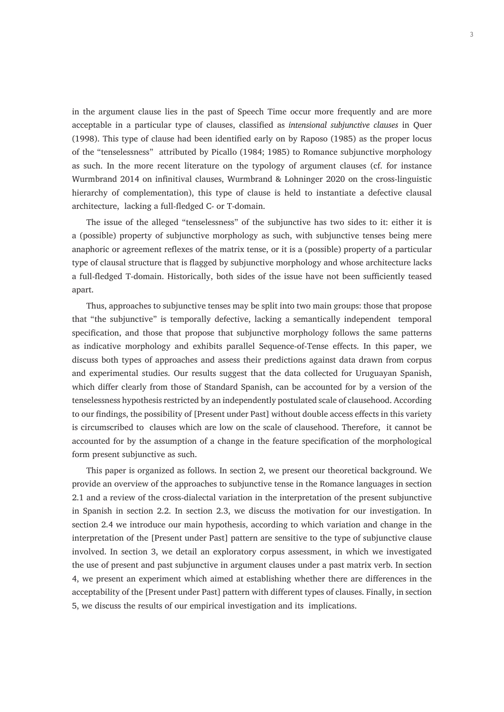in the argument clause lies in the past of Speech Time occur more frequently and are more acceptable in a particular type of clauses, classified as *intensional subjunctive clauses* in Quer (1998). This type of clause had been identified early on by Raposo (1985) as the proper locus of the "tenselessness" attributed by Picallo (1984; 1985) to Romance subjunctive morphology as such. In the more recent literature on the typology of argument clauses (cf. for instance Wurmbrand 2014 on infinitival clauses, Wurmbrand & Lohninger 2020 on the cross-linguistic hierarchy of complementation), this type of clause is held to instantiate a defective clausal architecture, lacking a full-fledged C- or T-domain.

The issue of the alleged "tenselessness" of the subjunctive has two sides to it: either it is a (possible) property of subjunctive morphology as such, with subjunctive tenses being mere anaphoric or agreement reflexes of the matrix tense, or it is a (possible) property of a particular type of clausal structure that is flagged by subjunctive morphology and whose architecture lacks a full-fledged T-domain. Historically, both sides of the issue have not been sufficiently teased apart.

Thus, approaches to subjunctive tenses may be split into two main groups: those that propose that "the subjunctive" is temporally defective, lacking a semantically independent temporal specification, and those that propose that subjunctive morphology follows the same patterns as indicative morphology and exhibits parallel Sequence-of-Tense effects. In this paper, we discuss both types of approaches and assess their predictions against data drawn from corpus and experimental studies. Our results suggest that the data collected for Uruguayan Spanish, which differ clearly from those of Standard Spanish, can be accounted for by a version of the tenselessness hypothesis restricted by an independently postulated scale of clausehood. According to our findings, the possibility of [Present under Past] without double access effects in this variety is circumscribed to clauses which are low on the scale of clausehood. Therefore, it cannot be accounted for by the assumption of a change in the feature specification of the morphological form present subjunctive as such.

This paper is organized as follows. In section 2, we present our theoretical background. We provide an overview of the approaches to subjunctive tense in the Romance languages in section 2.1 and a review of the cross-dialectal variation in the interpretation of the present subjunctive in Spanish in section 2.2. In section 2.3, we discuss the motivation for our investigation. In section 2.4 we introduce our main hypothesis, according to which variation and change in the interpretation of the [Present under Past] pattern are sensitive to the type of subjunctive clause involved. In section 3, we detail an exploratory corpus assessment, in which we investigated the use of present and past subjunctive in argument clauses under a past matrix verb. In section 4, we present an experiment which aimed at establishing whether there are differences in the acceptability of the [Present under Past] pattern with different types of clauses. Finally, in section 5, we discuss the results of our empirical investigation and its implications.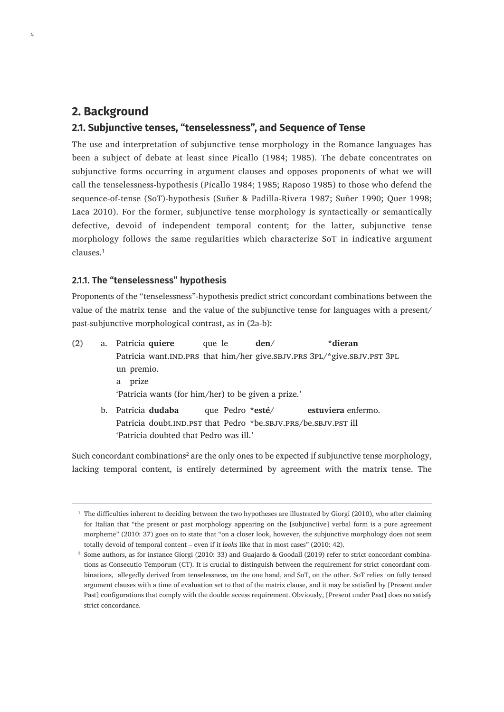# **2. Background**

4

#### **2.1. Subjunctive tenses, "tenselessness", and Sequence of Tense**

The use and interpretation of subjunctive tense morphology in the Romance languages has been a subject of debate at least since Picallo (1984; 1985). The debate concentrates on subjunctive forms occurring in argument clauses and opposes proponents of what we will call the tenselessness-hypothesis (Picallo 1984; 1985; Raposo 1985) to those who defend the sequence-of-tense (SoT)-hypothesis (Suñer & Padilla-Rivera 1987; Suñer 1990; Quer 1998; Laca 2010). For the former, subjunctive tense morphology is syntactically or semantically defective, devoid of independent temporal content; for the latter, subjunctive tense morphology follows the same regularities which characterize SoT in indicative argument clauses.<sup>1</sup>

#### **2.1.1. The "tenselessness" hypothesis**

Proponents of the "tenselessness"-hypothesis predict strict concordant combinations between the value of the matrix tense and the value of the subjunctive tense for languages with a present/ past-subjunctive morphological contrast, as in (2a-b):

(2) a. Patricia **quiere** que le **den**/ \***dieran** Patricia want.IND.PRS that him/her give.SBJV.PRS 3PL/\*give.SBJV.PST 3PL un premio. a prize 'Patricia wants (for him/her) to be given a prize.' b. Patricia **dudaba** que Pedro \***esté**/ **estuviera** enfermo. Patricia doubt.IND.PST that Pedro \*be.SBJV.PRS/be.SBJV.PST ill 'Patricia doubted that Pedro was ill.'

Such concordant combinations<sup>2</sup> are the only ones to be expected if subjunctive tense morphology, lacking temporal content, is entirely determined by agreement with the matrix tense. The

 $1$  The difficulties inherent to deciding between the two hypotheses are illustrated by Giorgi (2010), who after claiming for Italian that "the present or past morphology appearing on the [subjunctive] verbal form is a pure agreement morpheme" (2010: 37) goes on to state that "on a closer look, however, the subjunctive morphology does not seem totally devoid of temporal content – even if it *looks* like that in most cases" (2010: 42).

<sup>&</sup>lt;sup>2</sup> Some authors, as for instance Giorgi (2010: 33) and Guajardo & Goodall (2019) refer to strict concordant combinations as Consecutio Temporum (CT). It is crucial to distinguish between the requirement for strict concordant combinations, allegedly derived from tenselessness, on the one hand, and SoT, on the other. SoT relies on fully tensed argument clauses with a time of evaluation set to that of the matrix clause, and it may be satisfied by [Present under Past] configurations that comply with the double access requirement. Obviously, [Present under Past] does no satisfy strict concordance.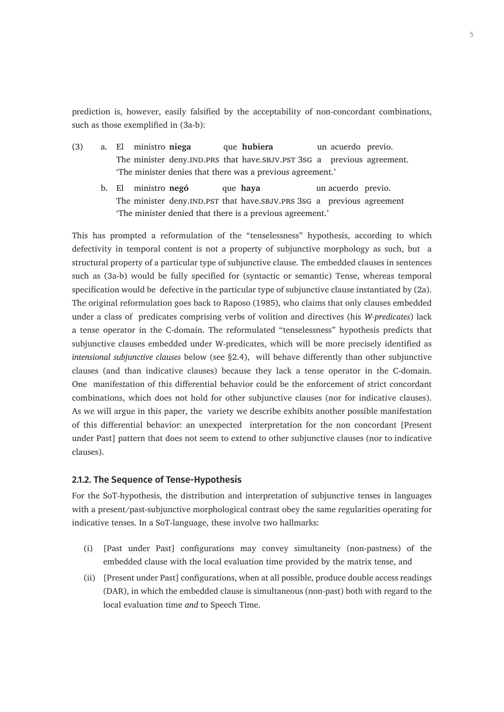prediction is, however, easily falsified by the acceptability of non-concordant combinations, such as those exemplified in (3a-b):

- (3) a. El ministro **niega** que **hubiera** un acuerdo previo. The minister deny.IND.PRS that have.SBJV.PST 3sG a previous agreement. 'The minister denies that there was a previous agreement.'
	- b. El ministro **negó** que **haya** un acuerdo previo. The minister deny. IND.PST that have. SBJV.PRS 3SG a previous agreement 'The minister denied that there is a previous agreement.'

This has prompted a reformulation of the "tenselessness" hypothesis, according to which defectivity in temporal content is not a property of subjunctive morphology as such, but a structural property of a particular type of subjunctive clause. The embedded clauses in sentences such as (3a-b) would be fully specified for (syntactic or semantic) Tense, whereas temporal specification would be defective in the particular type of subjunctive clause instantiated by (2a). The original reformulation goes back to Raposo (1985), who claims that only clauses embedded under a class of predicates comprising verbs of volition and directives (his *W-predicates*) lack a tense operator in the C-domain. The reformulated "tenselessness" hypothesis predicts that subjunctive clauses embedded under W-predicates, which will be more precisely identified as *intensional subjunctive clauses* below (see §2.4),will behave differently than other subjunctive clauses (and than indicative clauses) because they lack a tense operator in the C-domain. One manifestation of this differential behavior could be the enforcement of strict concordant combinations, which does not hold for other subjunctive clauses (nor for indicative clauses). As we will argue in this paper, the variety we describe exhibits another possible manifestation of this differential behavior: an unexpected interpretation for the non concordant [Present under Past] pattern that does not seem to extend to other subjunctive clauses (nor to indicative clauses).

#### **2.1.2. The Sequence of Tense-Hypothesis**

For the SoT-hypothesis, the distribution and interpretation of subjunctive tenses in languages with a present/past-subjunctive morphological contrast obey the same regularities operating for indicative tenses. In a SoT-language, these involve two hallmarks:

- (i) [Past under Past] configurations may convey simultaneity (non-pastness) of the embedded clause with the local evaluation time provided by the matrix tense, and
- (ii) [Present under Past] configurations, when at all possible, produce double access readings (DAR), in which the embedded clause is simultaneous (non-past) both with regard to the local evaluation time *and* to Speech Time.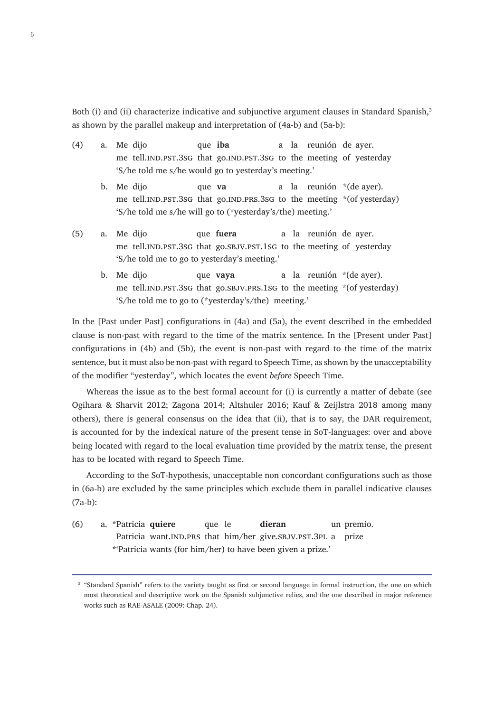Both (i) and (ii) characterize indicative and subjunctive argument clauses in Standard Spanish,<sup>3</sup> as shown by the parallel makeup and interpretation of (4a-b) and (5a-b):

- (4) a. Me dijo que **iba** a la reunión de ayer. me tell.IND.PST.3sG that go.IND.PST.3sG to the meeting of yesterday 'S/he told me s/he would go to yesterday's meeting.'
	- b. Me dijo que **va** a la reunión \*(de ayer). me tell.IND.PST.3sG that go.IND.PRS.3sG to the meeting \*(of yesterday) 'S/he told me s/he will go to (\*yesterday's/the) meeting.'
- (5) a. Me dijo que **fuera** a la reunión de ayer. me tell.IND.PST.3sG that go.SBJV.PST.1sG to the meeting of yesterday 'S/he told me to go to yesterday's meeting.'
	- b. Me dijo que **vava** a la reunión \*(de aver). me tell.IND.PST.3sG that go.SBJV.PRS.1sG to the meeting \*(of yesterday) 'S/he told me to go to (\*yesterday's/the) meeting.'

In the [Past under Past] configurations in (4a) and (5a), the event described in the embedded clause is non-past with regard to the time of the matrix sentence. In the [Present under Past] configurations in (4b) and (5b), the event is non-past with regard to the time of the matrix sentence, but it must also be non-past with regard to Speech Time, as shown by the unacceptability of the modifier "yesterday", which locates the event *before* Speech Time.

Whereas the issue as to the best formal account for (i) is currently a matter of debate (see Ogihara & Sharvit 2012; Zagona 2014; Altshuler 2016; Kauf & Zeijlstra 2018 among many others), there is general consensus on the idea that (ii), that is to say, the DAR requirement, is accounted for by the indexical nature of the present tense in SoT-languages: over and above being located with regard to the local evaluation time provided by the matrix tense, the present has to be located with regard to Speech Time.

According to the SoT-hypothesis, unacceptable non concordant configurations such as those in (6a-b) are excluded by the same principles which exclude them in parallel indicative clauses (7a-b):

(6) a. \*Patricia **quiere** que le **dieran** un premio. Patricia want.IND.PRS that him/her give.SBJV.PST.3PL a prize \*'Patricia wants (for him/her) to have been given a prize.'

<sup>&</sup>lt;sup>3</sup> "Standard Spanish" refers to the variety taught as first or second language in formal instruction, the one on which most theoretical and descriptive work on the Spanish subjunctive relies, and the one described in major reference works such as RAE-ASALE (2009: Chap. 24).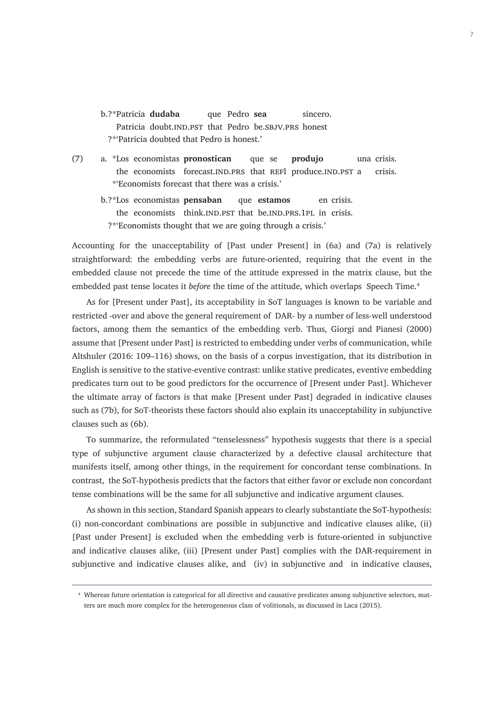- b.?\*Patricia **dudaba** que Pedro **sea** sincero. Patricia doubt.IND.PST that Pedro be.SBJV.PRS honest ?\*'Patricia doubted that Pedro is honest.'
- (7) a. \*Los economistas **pronostican** que se **produjo** una crisis. the economists forecast.IND.PRS that REFl produce.IND.PST a crisis. \*'Economists forecast that there was a crisis.'
	- b.?\*Los economistas **pensaban** que **estamos** en crisis. the economists think.IND.PST that be.IND.PRS.1PL in crisis. ?\*'Economists thought that we are going through a crisis.'

Accounting for the unacceptability of [Past under Present] in (6a) and (7a) is relatively straightforward: the embedding verbs are future-oriented, requiring that the event in the embedded clause not precede the time of the attitude expressed in the matrix clause, but the embedded past tense locates it *before* the time of the attitude, which overlaps Speech Time.<sup>4</sup>

As for [Present under Past], its acceptability in SoT languages is known to be variable and restricted -over and above the general requirement of DAR- by a number of less-well understood factors, among them the semantics of the embedding verb. Thus, Giorgi and Pianesi (2000) assume that [Present under Past] is restricted to embedding under verbs of communication, while Altshuler (2016: 109–116) shows, on the basis of a corpus investigation, that its distribution in English is sensitive to the stative-eventive contrast: unlike stative predicates, eventive embedding predicates turn out to be good predictors for the occurrence of [Present under Past]. Whichever the ultimate array of factors is that make [Present under Past] degraded in indicative clauses such as (7b), for SoT-theorists these factors should also explain its unacceptability in subjunctive clauses such as (6b).

To summarize, the reformulated "tenselessness" hypothesis suggests that there is a special type of subjunctive argument clause characterized by a defective clausal architecture that manifests itself, among other things, in the requirement for concordant tense combinations. In contrast, the SoT-hypothesis predicts that the factors that either favor or exclude non concordant tense combinations will be the same for all subjunctive and indicative argument clauses.

As shown in this section, Standard Spanish appears to clearly substantiate the SoT-hypothesis: (i) non-concordant combinations are possible in subjunctive and indicative clauses alike, (ii) [Past under Present] is excluded when the embedding verb is future-oriented in subjunctive and indicative clauses alike, (iii) [Present under Past] complies with the DAR-requirement in subjunctive and indicative clauses alike, and (iv) in subjunctive and in indicative clauses,

<sup>4</sup> Whereas future orientation is categorical for all directive and causative predicates among subjunctive selectors, matters are much more complex for the heterogeneous class of volitionals, as discussed in Laca (2015).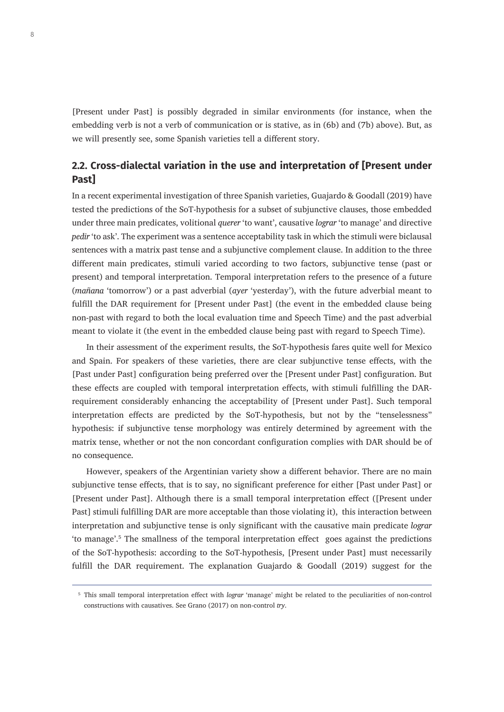[Present under Past] is possibly degraded in similar environments (for instance, when the embedding verb is not a verb of communication or is stative, as in (6b) and (7b) above). But, as we will presently see, some Spanish varieties tell a different story.

# **2.2. Cross-dialectal variation in the use and interpretation of [Present under Past]**

In a recent experimental investigation of three Spanish varieties, Guajardo & Goodall (2019) have tested the predictions of the SoT-hypothesis for a subset of subjunctive clauses, those embedded under three main predicates, volitional *querer* 'to want', causative *lograr* 'to manage' and directive *pedir* 'to ask'. The experiment was a sentence acceptability task in which the stimuli were biclausal sentences with a matrix past tense and a subjunctive complement clause. In addition to the three different main predicates, stimuli varied according to two factors, subjunctive tense (past or present) and temporal interpretation. Temporal interpretation refers to the presence of a future (*mañana* 'tomorrow') or a past adverbial (*ayer* 'yesterday'), with the future adverbial meant to fulfill the DAR requirement for [Present under Past] (the event in the embedded clause being non-past with regard to both the local evaluation time and Speech Time) and the past adverbial meant to violate it (the event in the embedded clause being past with regard to Speech Time).

In their assessment of the experiment results, the SoT-hypothesis fares quite well for Mexico and Spain. For speakers of these varieties, there are clear subjunctive tense effects, with the [Past under Past] configuration being preferred over the [Present under Past] configuration. But these effects are coupled with temporal interpretation effects, with stimuli fulfilling the DARrequirement considerably enhancing the acceptability of [Present under Past]. Such temporal interpretation effects are predicted by the SoT-hypothesis, but not by the "tenselessness" hypothesis: if subjunctive tense morphology was entirely determined by agreement with the matrix tense, whether or not the non concordant configuration complies with DAR should be of no consequence.

However, speakers of the Argentinian variety show a different behavior. There are no main subjunctive tense effects, that is to say, no significant preference for either [Past under Past] or [Present under Past]. Although there is a small temporal interpretation effect ([Present under Past] stimuli fulfilling DAR are more acceptable than those violating it), this interaction between interpretation and subjunctive tense is only significant with the causative main predicate *lograr* 'to manage'.<sup>5</sup> The smallness of the temporal interpretation effect goes against the predictions of the SoT-hypothesis: according to the SoT-hypothesis, [Present under Past] must necessarily fulfill the DAR requirement. The explanation Guajardo & Goodall (2019) suggest for the

<sup>5</sup> This small temporal interpretation effect with *lograr* 'manage' might be related to the peculiarities of non-control constructions with causatives. See Grano (2017) on non-control *try*.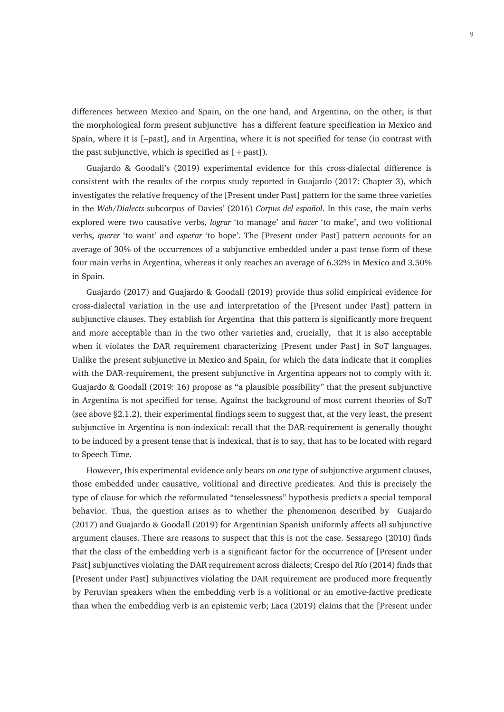differences between Mexico and Spain, on the one hand, and Argentina, on the other, is that the morphological form present subjunctive has a different feature specification in Mexico and Spain, where it is [–past], and in Argentina, where it is not specified for tense (in contrast with the past subjunctive, which is specified as  $[+$  past]).

Guajardo & Goodall's (2019) experimental evidence for this cross-dialectal difference is consistent with the results of the corpus study reported in Guajardo (2017: Chapter 3), which investigates the relative frequency of the [Present under Past] pattern for the same three varieties in the *Web/Dialects* subcorpus of Davies' (2016) *Corpus del español*. In this case, the main verbs explored were two causative verbs, *lograr* 'to manage' and *hacer* 'to make', and two volitional verbs, *querer* 'to want' and *esperar* 'to hope'. The [Present under Past] pattern accounts for an average of 30% of the occurrences of a subjunctive embedded under a past tense form of these four main verbs in Argentina, whereas it only reaches an average of 6.32% in Mexico and 3.50% in Spain.

Guajardo (2017) and Guajardo & Goodall (2019) provide thus solid empirical evidence for cross-dialectal variation in the use and interpretation of the [Present under Past] pattern in subjunctive clauses. They establish for Argentina that this pattern is significantly more frequent and more acceptable than in the two other varieties and, crucially, that it is also acceptable when it violates the DAR requirement characterizing [Present under Past] in SoT languages. Unlike the present subjunctive in Mexico and Spain, for which the data indicate that it complies with the DAR-requirement, the present subjunctive in Argentina appears not to comply with it. Guajardo & Goodall (2019: 16) propose as "a plausible possibility" that the present subjunctive in Argentina is not specified for tense. Against the background of most current theories of SoT (see above §2.1.2), their experimental findings seem to suggest that, at the very least, the present subjunctive in Argentina is non-indexical: recall that the DAR-requirement is generally thought to be induced by a present tense that is indexical, that is to say, that has to be located with regard to Speech Time.

However, this experimental evidence only bears on *one* type of subjunctive argument clauses, those embedded under causative, volitional and directive predicates. And this is precisely the type of clause for which the reformulated "tenselessness" hypothesis predicts a special temporal behavior. Thus, the question arises as to whether the phenomenon described by Guajardo (2017) and Guajardo & Goodall (2019) for Argentinian Spanish uniformly affects all subjunctive argument clauses. There are reasons to suspect that this is not the case. Sessarego (2010) finds that the class of the embedding verb is a significant factor for the occurrence of [Present under Past] subjunctives violating the DAR requirement across dialects; Crespo del Río (2014) finds that [Present under Past] subjunctives violating the DAR requirement are produced more frequently by Peruvian speakers when the embedding verb is a volitional or an emotive-factive predicate than when the embedding verb is an epistemic verb; Laca (2019) claims that the [Present under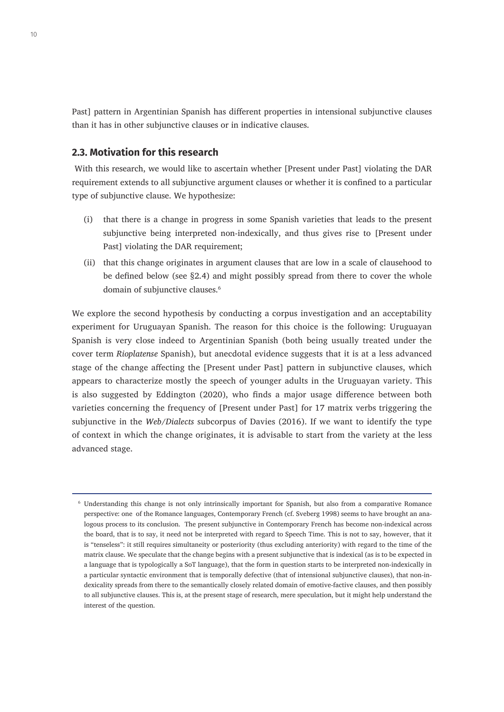Past] pattern in Argentinian Spanish has different properties in intensional subjunctive clauses than it has in other subjunctive clauses or in indicative clauses.

#### **2.3. Motivation for this research**

 With this research, we would like to ascertain whether [Present under Past] violating the DAR requirement extends to all subjunctive argument clauses or whether it is confined to a particular type of subjunctive clause. We hypothesize:

- (i) that there is a change in progress in some Spanish varieties that leads to the present subjunctive being interpreted non-indexically, and thus gives rise to [Present under Past] violating the DAR requirement;
- (ii) that this change originates in argument clauses that are low in a scale of clausehood to be defined below (see §2.4) and might possibly spread from there to cover the whole domain of subjunctive clauses.<sup>6</sup>

We explore the second hypothesis by conducting a corpus investigation and an acceptability experiment for Uruguayan Spanish. The reason for this choice is the following: Uruguayan Spanish is very close indeed to Argentinian Spanish (both being usually treated under the cover term *Rioplatense* Spanish), but anecdotal evidence suggests that it is at a less advanced stage of the change affecting the [Present under Past] pattern in subjunctive clauses, which appears to characterize mostly the speech of younger adults in the Uruguayan variety. This is also suggested by Eddington (2020), who finds a major usage difference between both varieties concerning the frequency of [Present under Past] for 17 matrix verbs triggering the subjunctive in the *Web/Dialects* subcorpus of Davies (2016). If we want to identify the type of context in which the change originates, it is advisable to start from the variety at the less advanced stage.

<sup>6</sup> Understanding this change is not only intrinsically important for Spanish, but also from a comparative Romance perspective: one of the Romance languages, Contemporary French (cf. Sveberg 1998) seems to have brought an analogous process to its conclusion. The present subjunctive in Contemporary French has become non-indexical across the board, that is to say, it need not be interpreted with regard to Speech Time. This is not to say, however, that it is "tenseless": it still requires simultaneity or posteriority (thus excluding anteriority) with regard to the time of the matrix clause. We speculate that the change begins with a present subjunctive that is indexical (as is to be expected in a language that is typologically a SoT language), that the form in question starts to be interpreted non-indexically in a particular syntactic environment that is temporally defective (that of intensional subjunctive clauses), that non-indexicality spreads from there to the semantically closely related domain of emotive-factive clauses, and then possibly to all subjunctive clauses. This is, at the present stage of research, mere speculation, but it might help understand the interest of the question.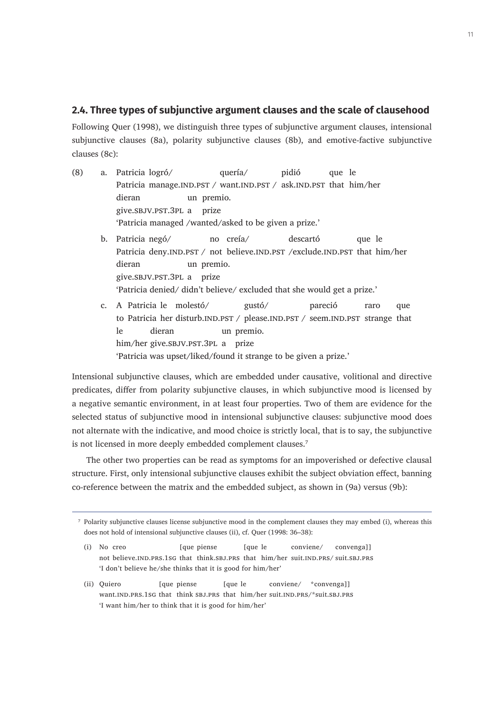#### **2.4. Three types of subjunctive argument clauses and the scale of clausehood**

Following Quer (1998), we distinguish three types of subjunctive argument clauses, intensional subjunctive clauses (8a), polarity subjunctive clauses (8b), and emotive-factive subjunctive clauses (8c):

- (8) a. Patricia logró/ quería/ pidió que le Patricia manage.IND.PST / want.IND.PST / ask.IND.PST that him/her dieran un premio. give.sbjv.pst.3pl a prize 'Patricia managed /wanted/asked to be given a prize.'
	- b. Patricia negó/ no creía/ descartó que le Patricia deny.IND.PST / not believe.IND.PST /exclude.IND.PST that him/her dieran un premio. give.sbjv.pst.3pl a prize 'Patricia denied/ didn't believe/ excluded that she would get a prize.'
	- c. A Patricia le molestó/ gustó/ pareció raro que to Patricia her disturb.IND.PST / please.IND.PST / seem.IND.PST strange that le dieran un premio. him/her give.sbjv.pst.3pl a prize 'Patricia was upset/liked/found it strange to be given a prize.'

Intensional subjunctive clauses, which are embedded under causative, volitional and directive predicates, differ from polarity subjunctive clauses, in which subjunctive mood is licensed by a negative semantic environment, in at least four properties. Two of them are evidence for the selected status of subjunctive mood in intensional subjunctive clauses: subjunctive mood does not alternate with the indicative, and mood choice is strictly local, that is to say, the subjunctive is not licensed in more deeply embedded complement clauses.<sup>7</sup>

The other two properties can be read as symptoms for an impoverished or defective clausal structure. First, only intensional subjunctive clauses exhibit the subject obviation effect, banning co-reference between the matrix and the embedded subject, as shown in (9a) versus (9b):

(ii) Quiero [que piense [que le conviene/ \*convenga]] want.IND.PRS.1sG that think SBJ.PRS that him/her suit.IND.PRS/\*suit.SBJ.PRS 'I want him/her to think that it is good for him/her'

<sup>7</sup> Polarity subjunctive clauses license subjunctive mood in the complement clauses they may embed (i), whereas this does not hold of intensional subjunctive clauses (ii), cf. Quer (1998: 36–38):

<sup>(</sup>i) No creo [que piense [que le conviene/ convenga]] not believe.ind.prs.1sg that think.sbj.prs that him/her suit.ind.prs/ suit.sbj.prs 'I don't believe he/she thinks that it is good for him/her'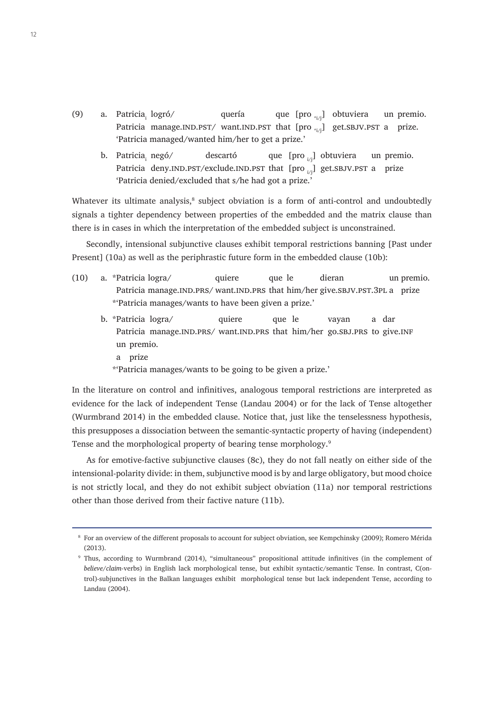- (9) a. Patricia<sub>i</sub> logró/ quería que [pro  $\mathcal{L}_{i,j}$ ] obtuviera un premio. Patricia manage.IND.PST/ want.IND.PST that  $[pro_{\pi i/2}]$  get.SBJV.PST a prize. 'Patricia managed/wanted him/her to get a prize.'
	- b. Patricia<sub>i</sub> negó/ descartó que [pro <sub>i/i</sub>] obtuviera un premio. Patricia deny.IND.PST/exclude.IND.PST that  $[pro_{i/1}]$  get.SBJV.PST a prize 'Patricia denied/excluded that s/he had got a prize.'

Whatever its ultimate analysis, $^8$  subject obviation is a form of anti-control and undoubtedly signals a tighter dependency between properties of the embedded and the matrix clause than there is in cases in which the interpretation of the embedded subject is unconstrained.

Secondly, intensional subjunctive clauses exhibit temporal restrictions banning [Past under Present] (10a) as well as the periphrastic future form in the embedded clause (10b):

- (10) a. \*Patricia logra/ quiere que le dieran un premio. Patricia manage.IND.PRS/ want.IND.PRS that him/her give.SBJV.PST.3PL a prize \*'Patricia manages/wants to have been given a prize.'
	- b. \*Patricia logra/ quiere que le vayan a dar Patricia manage.IND.PRS/ want.IND.PRS that him/her go.SBJ.PRS to give.INF un premio.
		- a prize
		- \*'Patricia manages/wants to be going to be given a prize.'

In the literature on control and infinitives, analogous temporal restrictions are interpreted as evidence for the lack of independent Tense (Landau 2004) or for the lack of Tense altogether (Wurmbrand 2014) in the embedded clause. Notice that, just like the tenselessness hypothesis, this presupposes a dissociation between the semantic-syntactic property of having (independent) Tense and the morphological property of bearing tense morphology.<sup>9</sup>

As for emotive-factive subjunctive clauses (8c), they do not fall neatly on either side of the intensional-polarity divide: in them, subjunctive mood is by and large obligatory, but mood choice is not strictly local, and they do not exhibit subject obviation (11a) nor temporal restrictions other than those derived from their factive nature (11b).

<sup>8</sup> For an overview of the different proposals to account for subject obviation, see Kempchinsky (2009); Romero Mérida (2013).

<sup>9</sup> Thus, according to Wurmbrand (2014), "simultaneous" propositional attitude infinitives (in the complement of *believe/claim*-verbs) in English lack morphological tense, but exhibit syntactic/semantic Tense. In contrast, C(ontrol)-subjunctives in the Balkan languages exhibit morphological tense but lack independent Tense, according to Landau (2004).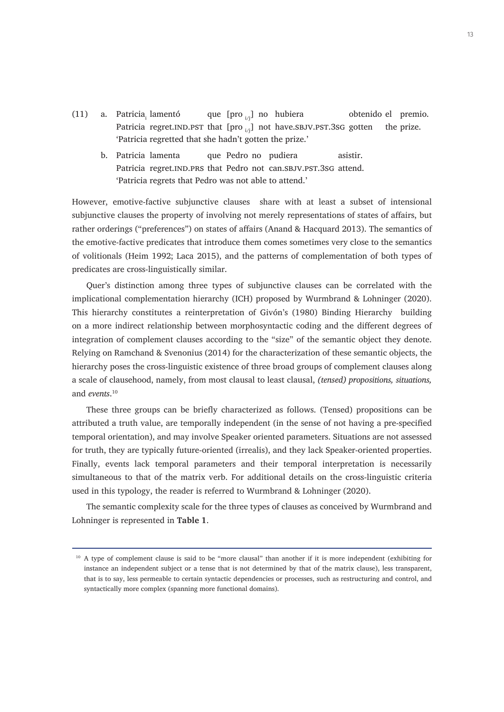- (11) a. Patricia lamentó que [pro  $\mathcal{U}$ ] no hubiera obtenido el premio. Patricia regret.IND.PST that  $[pro_{i,j}]$  not have.SBJV.PST.3sG gotten the prize. 'Patricia regretted that she hadn't gotten the prize.'
	- b. Patricia lamenta que Pedro no pudiera asistir. Patricia regret. IND.PRS that Pedro not can. SBJV.PST.3sG attend. 'Patricia regrets that Pedro was not able to attend.'

However, emotive-factive subjunctive clauses share with at least a subset of intensional subjunctive clauses the property of involving not merely representations of states of affairs, but rather orderings ("preferences") on states of affairs (Anand & Hacquard 2013). The semantics of the emotive-factive predicates that introduce them comes sometimes very close to the semantics of volitionals (Heim 1992; Laca 2015), and the patterns of complementation of both types of predicates are cross-linguistically similar.

Quer's distinction among three types of subjunctive clauses can be correlated with the implicational complementation hierarchy (ICH) proposed by Wurmbrand & Lohninger (2020). This hierarchy constitutes a reinterpretation of Givón's (1980) Binding Hierarchy building on a more indirect relationship between morphosyntactic coding and the different degrees of integration of complement clauses according to the "size" of the semantic object they denote. Relying on Ramchand & Svenonius (2014) for the characterization of these semantic objects, the hierarchy poses the cross-linguistic existence of three broad groups of complement clauses along a scale of clausehood, namely, from most clausal to least clausal, *(tensed) propositions, situations,*  and *events*. 10

These three groups can be briefly characterized as follows. (Tensed) propositions can be attributed a truth value, are temporally independent (in the sense of not having a pre-specified temporal orientation), and may involve Speaker oriented parameters. Situations are not assessed for truth, they are typically future-oriented (irrealis), and they lack Speaker-oriented properties. Finally, events lack temporal parameters and their temporal interpretation is necessarily simultaneous to that of the matrix verb. For additional details on the cross-linguistic criteria used in this typology, the reader is referred to Wurmbrand & Lohninger (2020).

The semantic complexity scale for the three types of clauses as conceived by Wurmbrand and Lohninger is represented in **Table 1**.

<sup>&</sup>lt;sup>10</sup> A type of complement clause is said to be "more clausal" than another if it is more independent (exhibiting for instance an independent subject or a tense that is not determined by that of the matrix clause), less transparent, that is to say, less permeable to certain syntactic dependencies or processes, such as restructuring and control, and syntactically more complex (spanning more functional domains).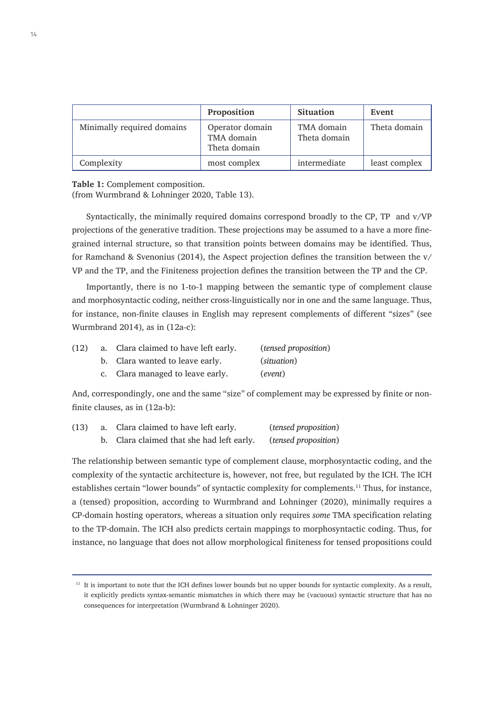|                            | Proposition                                   | <b>Situation</b>           | Event         |
|----------------------------|-----------------------------------------------|----------------------------|---------------|
| Minimally required domains | Operator domain<br>TMA domain<br>Theta domain | TMA domain<br>Theta domain | Theta domain  |
| Complexity                 | most complex                                  | intermediate               | least complex |

**Table 1:** Complement composition.

(from Wurmbrand & Lohninger 2020, Table 13).

Syntactically, the minimally required domains correspond broadly to the CP, TP and v/VP projections of the generative tradition. These projections may be assumed to a have a more finegrained internal structure, so that transition points between domains may be identified. Thus, for Ramchand & Svenonius (2014), the Aspect projection defines the transition between the v/ VP and the TP, and the Finiteness projection defines the transition between the TP and the CP.

Importantly, there is no 1-to-1 mapping between the semantic type of complement clause and morphosyntactic coding, neither cross-linguistically nor in one and the same language. Thus, for instance, non-finite clauses in English may represent complements of different "sizes" (see Wurmbrand 2014), as in (12a-c):

| (12) | a. Clara claimed to have left early. | (tensed proposition) |
|------|--------------------------------------|----------------------|
|      | b. Clara wanted to leave early.      | (situation)          |
|      | c. Clara managed to leave early.     | (event)              |

And, correspondingly, one and the same "size" of complement may be expressed by finite or nonfinite clauses, as in (12a-b):

| (13) | a. Clara claimed to have left early. |                                           | (tensed proposition) |
|------|--------------------------------------|-------------------------------------------|----------------------|
|      |                                      | b. Clara claimed that she had left early. | (tensed proposition) |

The relationship between semantic type of complement clause, morphosyntactic coding, and the complexity of the syntactic architecture is, however, not free, but regulated by the ICH. The ICH establishes certain "lower bounds" of syntactic complexity for complements.<sup>11</sup> Thus, for instance, a (tensed) proposition, according to Wurmbrand and Lohninger (2020), minimally requires a CP-domain hosting operators, whereas a situation only requires *some* TMA specification relating to the TP-domain. The ICH also predicts certain mappings to morphosyntactic coding. Thus, for instance, no language that does not allow morphological finiteness for tensed propositions could

<sup>&</sup>lt;sup>11</sup> It is important to note that the ICH defines lower bounds but no upper bounds for syntactic complexity. As a result, it explicitly predicts syntax-semantic mismatches in which there may be (vacuous) syntactic structure that has no consequences for interpretation (Wurmbrand & Lohninger 2020).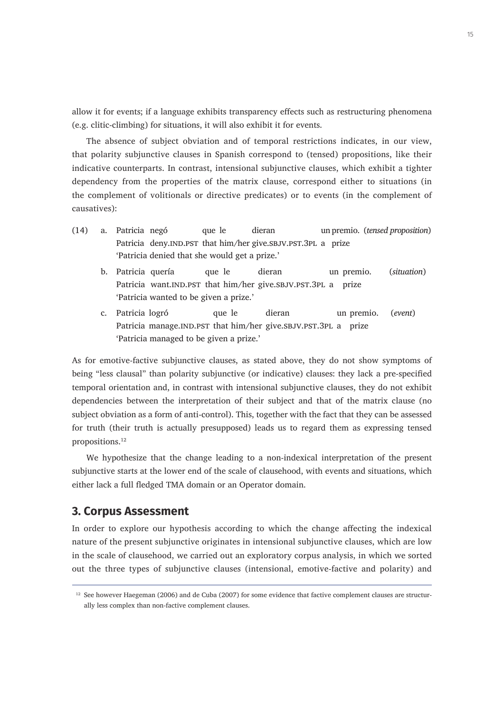allow it for events; if a language exhibits transparency effects such as restructuring phenomena (e.g. clitic-climbing) for situations, it will also exhibit it for events.

The absence of subject obviation and of temporal restrictions indicates, in our view, that polarity subjunctive clauses in Spanish correspond to (tensed) propositions, like their indicative counterparts. In contrast, intensional subjunctive clauses, which exhibit a tighter dependency from the properties of the matrix clause, correspond either to situations (in the complement of volitionals or directive predicates) or to events (in the complement of causatives):

- (14) a. Patricia negó que le dieran un premio. (*tensed proposition*) Patricia deny.IND.PST that him/her give.SBJV.PST.3PL a prize 'Patricia denied that she would get a prize.'
	- b. Patricia quería que le dieran un premio. (*situation*) Patricia want.IND.PST that him/her give.SBJV.PST.3PL a prize 'Patricia wanted to be given a prize.'
	- c. Patricia logró que le dieran un premio. (*event*) Patricia manage.IND.PST that him/her give.SBJV.PST.3PL a prize 'Patricia managed to be given a prize.'

As for emotive-factive subjunctive clauses, as stated above, they do not show symptoms of being "less clausal" than polarity subjunctive (or indicative) clauses: they lack a pre-specified temporal orientation and, in contrast with intensional subjunctive clauses, they do not exhibit dependencies between the interpretation of their subject and that of the matrix clause (no subject obviation as a form of anti-control). This, together with the fact that they can be assessed for truth (their truth is actually presupposed) leads us to regard them as expressing tensed propositions.<sup>12</sup>

We hypothesize that the change leading to a non-indexical interpretation of the present subjunctive starts at the lower end of the scale of clausehood, with events and situations, which either lack a full fledged TMA domain or an Operator domain.

# **3. Corpus Assessment**

In order to explore our hypothesis according to which the change affecting the indexical nature of the present subjunctive originates in intensional subjunctive clauses, which are low in the scale of clausehood, we carried out an exploratory corpus analysis, in which we sorted out the three types of subjunctive clauses (intensional, emotive-factive and polarity) and

<sup>&</sup>lt;sup>12</sup> See however Haegeman (2006) and de Cuba (2007) for some evidence that factive complement clauses are structurally less complex than non-factive complement clauses.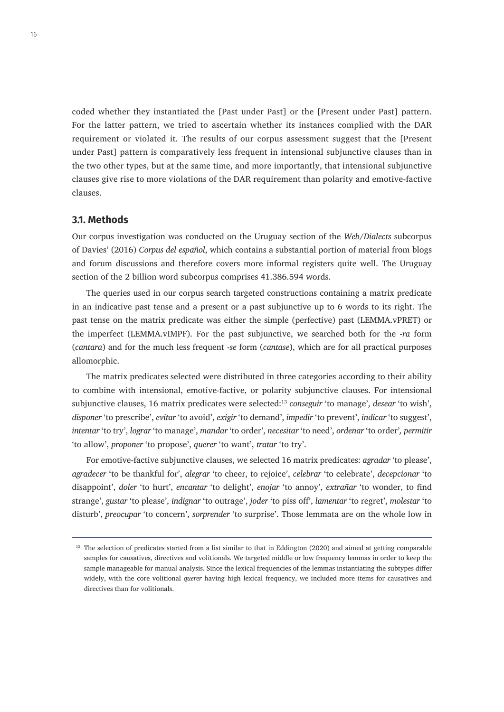coded whether they instantiated the [Past under Past] or the [Present under Past] pattern. For the latter pattern, we tried to ascertain whether its instances complied with the DAR requirement or violated it. The results of our corpus assessment suggest that the [Present under Past] pattern is comparatively less frequent in intensional subjunctive clauses than in the two other types, but at the same time, and more importantly, that intensional subjunctive clauses give rise to more violations of the DAR requirement than polarity and emotive-factive clauses.

#### **3.1. Methods**

Our corpus investigation was conducted on the Uruguay section of the *Web/Dialects* subcorpus of Davies' (2016) *Corpus del español*, which contains a substantial portion of material from blogs and forum discussions and therefore covers more informal registers quite well. The Uruguay section of the 2 billion word subcorpus comprises 41.386.594 words.

The queries used in our corpus search targeted constructions containing a matrix predicate in an indicative past tense and a present or a past subjunctive up to 6 words to its right. The past tense on the matrix predicate was either the simple (perfective) past (LEMMA.vPRET) or the imperfect (LEMMA.vIMPF). For the past subjunctive, we searched both for the -*ra* form (*cantara*) and for the much less frequent -*se* form (*cantase*), which are for all practical purposes allomorphic.

The matrix predicates selected were distributed in three categories according to their ability to combine with intensional, emotive-factive, or polarity subjunctive clauses. For intensional subjunctive clauses, 16 matrix predicates were selected:13 *conseguir* 'to manage', *desear* 'to wish', *disponer* 'to prescribe', *evitar* 'to avoid', *exigir* 'to demand', *impedir* 'to prevent', *indicar* 'to suggest', *intentar* 'to try', *lograr* 'to manage', *mandar* 'to order', *necesitar* 'to need', *ordenar* 'to order'*, permitir* 'to allow', *proponer* 'to propose', *querer* 'to want', *tratar* 'to try'.

For emotive-factive subjunctive clauses, we selected 16 matrix predicates: *agradar* 'to please', *agradecer* 'to be thankful for', *alegrar* 'to cheer, to rejoice', *celebrar* 'to celebrate', *decepcionar* 'to disappoint', *doler* 'to hurt', *encantar* 'to delight', *enojar* 'to annoy', *extrañar* 'to wonder, to find strange', *gustar* 'to please', *indignar* 'to outrage', *joder* 'to piss off', *lamentar* 'to regret', *molestar* 'to disturb', *preocupar* 'to concern', *sorprender* 'to surprise'. Those lemmata are on the whole low in

<sup>&</sup>lt;sup>13</sup> The selection of predicates started from a list similar to that in Eddington (2020) and aimed at getting comparable samples for causatives, directives and volitionals. We targeted middle or low frequency lemmas in order to keep the sample manageable for manual analysis. Since the lexical frequencies of the lemmas instantiating the subtypes differ widely, with the core volitional *querer* having high lexical frequency, we included more items for causatives and directives than for volitionals.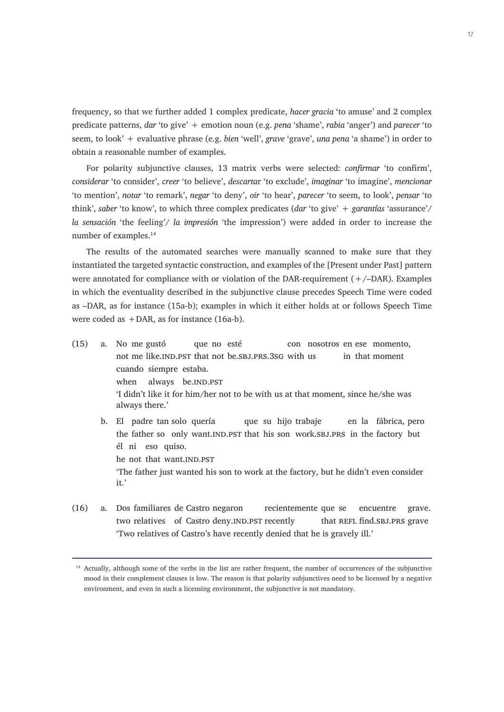frequency, so that we further added 1 complex predicate, *hacer gracia* 'to amuse' and 2 complex predicate patterns, *dar* 'to give' + emotion noun (e.g. *pena* 'shame', *rabia* 'anger') and *parecer* 'to seem, to look' + evaluative phrase (e.g. *bien* 'well', *grave* 'grave', *una pena* 'a shame') in order to obtain a reasonable number of examples.

For polarity subjunctive clauses, 13 matrix verbs were selected: *confirmar* 'to confirm', *considerar* 'to consider', *creer* 'to believe', *descarta*r 'to exclude', *imaginar* 'to imagine', *mencionar* 'to mention', *notar* 'to remark', *negar* 'to deny', *oir* 'to hear', *parecer* 'to seem, to look', *pensar* 'to think', *saber* 'to know', to which three complex predicates (*dar* 'to give' + *garantías* 'assurance'/ *la sensación* 'the feeling'/ *la impresión* 'the impression') were added in order to increase the number of examples.<sup>14</sup>

The results of the automated searches were manually scanned to make sure that they instantiated the targeted syntactic construction, and examples of the [Present under Past] pattern were annotated for compliance with or violation of the DAR-requirement  $(+/-DAR)$ . Examples in which the eventuality described in the subjunctive clause precedes Speech Time were coded as –DAR, as for instance (15a-b); examples in which it either holds at or follows Speech Time were coded as  $+DAR$ , as for instance (16a-b).

- (15) a. No me gustó que no esté con nosotros en ese momento, not me like.IND.PST that not be.SBJ.PRS.3SG with us in that moment cuando siempre estaba. when always be.IND.PST 'I didn't like it for him/her not to be with us at that moment, since he/she was always there.' b. El padre tan solo quería que su hijo trabaje en la fábrica, pero
	- the father so only want.IND.PST that his son work.SBJ.PRS in the factory but él ni eso quiso. he not that want.IND.PST 'The father just wanted his son to work at the factory, but he didn't even consider it.'
- (16) a. Dos familiares de Castro negaron recientemente que se encuentre grave. two relatives of Castro deny.IND.PST recently that REFL find.SBJ.PRS grave 'Two relatives of Castro's have recently denied that he is gravely ill.'

<sup>&</sup>lt;sup>14</sup> Actually, although some of the verbs in the list are rather frequent, the number of occurrences of the subjunctive mood in their complement clauses is low. The reason is that polarity subjunctives need to be licensed by a negative environment, and even in such a licensing environment, the subjunctive is not mandatory.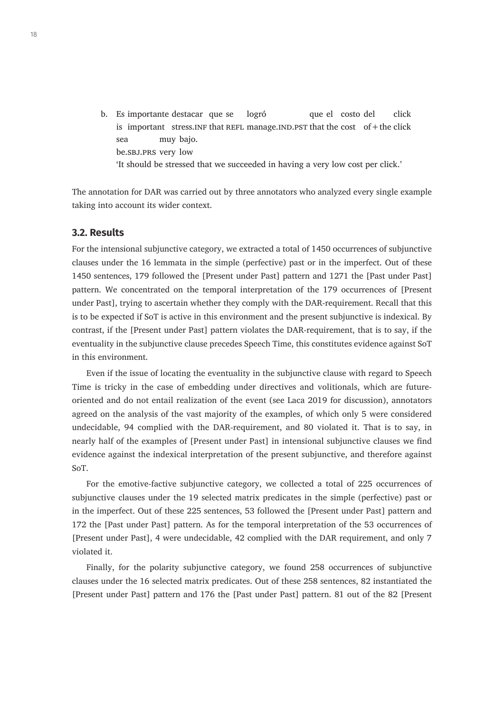b. Es importante destacar que se logró que el costo del click is important stress. INF that REFL manage. IND.PST that the cost of  $+$  the click sea muy bajo. be.sbj.prs very low 'It should be stressed that we succeeded in having a very low cost per click.'

The annotation for DAR was carried out by three annotators who analyzed every single example taking into account its wider context.

#### **3.2. Results**

For the intensional subjunctive category, we extracted a total of 1450 occurrences of subjunctive clauses under the 16 lemmata in the simple (perfective) past or in the imperfect. Out of these 1450 sentences, 179 followed the [Present under Past] pattern and 1271 the [Past under Past] pattern. We concentrated on the temporal interpretation of the 179 occurrences of [Present under Past], trying to ascertain whether they comply with the DAR-requirement. Recall that this is to be expected if SoT is active in this environment and the present subjunctive is indexical. By contrast, if the [Present under Past] pattern violates the DAR-requirement, that is to say, if the eventuality in the subjunctive clause precedes Speech Time, this constitutes evidence against SoT in this environment.

Even if the issue of locating the eventuality in the subjunctive clause with regard to Speech Time is tricky in the case of embedding under directives and volitionals, which are futureoriented and do not entail realization of the event (see Laca 2019 for discussion), annotators agreed on the analysis of the vast majority of the examples, of which only 5 were considered undecidable, 94 complied with the DAR-requirement, and 80 violated it. That is to say, in nearly half of the examples of [Present under Past] in intensional subjunctive clauses we find evidence against the indexical interpretation of the present subjunctive, and therefore against SoT.

For the emotive-factive subjunctive category, we collected a total of 225 occurrences of subjunctive clauses under the 19 selected matrix predicates in the simple (perfective) past or in the imperfect. Out of these 225 sentences, 53 followed the [Present under Past] pattern and 172 the [Past under Past] pattern. As for the temporal interpretation of the 53 occurrences of [Present under Past], 4 were undecidable, 42 complied with the DAR requirement, and only 7 violated it.

Finally, for the polarity subjunctive category, we found 258 occurrences of subjunctive clauses under the 16 selected matrix predicates. Out of these 258 sentences, 82 instantiated the [Present under Past] pattern and 176 the [Past under Past] pattern. 81 out of the 82 [Present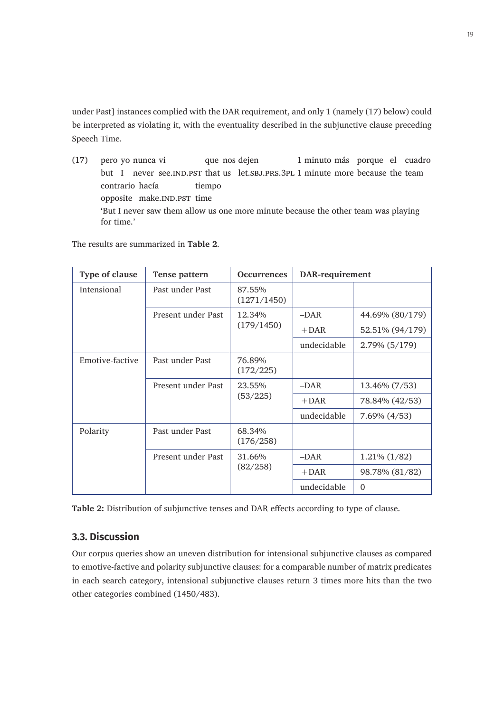under Past] instances complied with the DAR requirement, and only 1 (namely (17) below) could be interpreted as violating it, with the eventuality described in the subjunctive clause preceding Speech Time.

(17) pero yo nunca vi que nos dejen 1 minuto más porque el cuadro but I never see.IND.PST that us let.SBJ.PRS.3PL 1 minute more because the team contrario hacía tiempo opposite make.IND.PST time 'But I never saw them allow us one more minute because the other team was playing for time.'

The results are summarized in **Table 2**.

| Type of clause  | Tense pattern                            | <b>Occurrences</b>    | DAR-requirement |                   |
|-----------------|------------------------------------------|-----------------------|-----------------|-------------------|
| Intensional     | Past under Past                          | 87.55%<br>(1271/1450) |                 |                   |
|                 | Present under Past                       | 12.34%<br>(179/1450)  | $-DAR$          | 44.69% (80/179)   |
|                 |                                          |                       | $+$ DAR         | 52.51% (94/179)   |
|                 |                                          |                       | undecidable     | 2.79% (5/179)     |
| Emotive-factive | Past under Past                          | 76.89%<br>(172/225)   |                 |                   |
|                 | Present under Past                       | 23.55%<br>(53/225)    | $-DAR$          | 13.46% (7/53)     |
|                 |                                          |                       | $+$ DAR         | 78.84% (42/53)    |
|                 |                                          |                       | undecidable     | $7.69\%$ $(4/53)$ |
| Polarity        | Past under Past                          | 68.34%<br>(176/258)   |                 |                   |
|                 | Present under Past<br>31.66%<br>(82/258) |                       | $-DAR$          | $1.21\%$ (1/82)   |
|                 |                                          |                       | $+$ DAR         | 98.78% (81/82)    |
|                 |                                          | undecidable           | $\Omega$        |                   |

**Table 2:** Distribution of subjunctive tenses and DAR effects according to type of clause.

# **3.3. Discussion**

Our corpus queries show an uneven distribution for intensional subjunctive clauses as compared to emotive-factive and polarity subjunctive clauses: for a comparable number of matrix predicates in each search category, intensional subjunctive clauses return 3 times more hits than the two other categories combined (1450/483).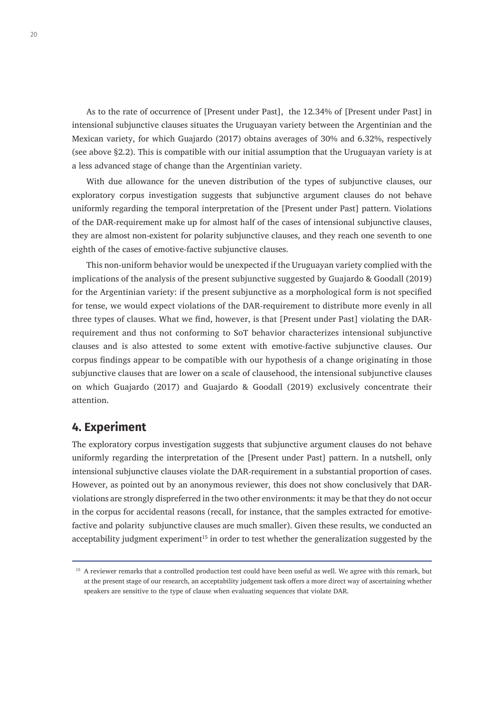As to the rate of occurrence of [Present under Past], the 12.34% of [Present under Past] in intensional subjunctive clauses situates the Uruguayan variety between the Argentinian and the Mexican variety, for which Guajardo (2017) obtains averages of 30% and 6.32%, respectively (see above §2.2). This is compatible with our initial assumption that the Uruguayan variety is at a less advanced stage of change than the Argentinian variety.

With due allowance for the uneven distribution of the types of subjunctive clauses, our exploratory corpus investigation suggests that subjunctive argument clauses do not behave uniformly regarding the temporal interpretation of the [Present under Past] pattern. Violations of the DAR-requirement make up for almost half of the cases of intensional subjunctive clauses, they are almost non-existent for polarity subjunctive clauses, and they reach one seventh to one eighth of the cases of emotive-factive subjunctive clauses.

This non-uniform behavior would be unexpected if the Uruguayan variety complied with the implications of the analysis of the present subjunctive suggested by Guajardo & Goodall (2019) for the Argentinian variety: if the present subjunctive as a morphological form is not specified for tense, we would expect violations of the DAR-requirement to distribute more evenly in all three types of clauses. What we find, however, is that [Present under Past] violating the DARrequirement and thus not conforming to SoT behavior characterizes intensional subjunctive clauses and is also attested to some extent with emotive-factive subjunctive clauses. Our corpus findings appear to be compatible with our hypothesis of a change originating in those subjunctive clauses that are lower on a scale of clausehood, the intensional subjunctive clauses on which Guajardo (2017) and Guajardo & Goodall (2019) exclusively concentrate their attention.

# **4. Experiment**

The exploratory corpus investigation suggests that subjunctive argument clauses do not behave uniformly regarding the interpretation of the [Present under Past] pattern. In a nutshell, only intensional subjunctive clauses violate the DAR-requirement in a substantial proportion of cases. However, as pointed out by an anonymous reviewer, this does not show conclusively that DARviolations are strongly dispreferred in the two other environments: it may be that they do not occur in the corpus for accidental reasons (recall, for instance, that the samples extracted for emotivefactive and polarity subjunctive clauses are much smaller). Given these results, we conducted an acceptability judgment experiment<sup>15</sup> in order to test whether the generalization suggested by the

<sup>&</sup>lt;sup>15</sup> A reviewer remarks that a controlled production test could have been useful as well. We agree with this remark, but at the present stage of our research, an acceptability judgement task offers a more direct way of ascertaining whether speakers are sensitive to the type of clause when evaluating sequences that violate DAR.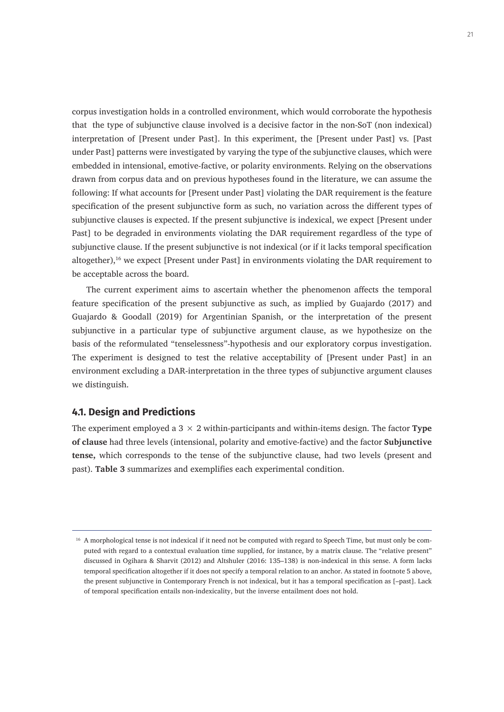corpus investigation holds in a controlled environment, which would corroborate the hypothesis that the type of subjunctive clause involved is a decisive factor in the non-SoT (non indexical) interpretation of [Present under Past]. In this experiment, the [Present under Past] vs. [Past under Past] patterns were investigated by varying the type of the subjunctive clauses, which were embedded in intensional, emotive-factive, or polarity environments. Relying on the observations drawn from corpus data and on previous hypotheses found in the literature, we can assume the following: If what accounts for [Present under Past] violating the DAR requirement is the feature specification of the present subjunctive form as such, no variation across the different types of subjunctive clauses is expected. If the present subjunctive is indexical, we expect [Present under Past] to be degraded in environments violating the DAR requirement regardless of the type of subjunctive clause. If the present subjunctive is not indexical (or if it lacks temporal specification altogether),<sup>16</sup> we expect [Present under Past] in environments violating the DAR requirement to be acceptable across the board.

The current experiment aims to ascertain whether the phenomenon affects the temporal feature specification of the present subjunctive as such, as implied by Guajardo (2017) and Guajardo & Goodall (2019) for Argentinian Spanish, or the interpretation of the present subjunctive in a particular type of subjunctive argument clause, as we hypothesize on the basis of the reformulated "tenselessness"-hypothesis and our exploratory corpus investigation. The experiment is designed to test the relative acceptability of [Present under Past] in an environment excluding a DAR-interpretation in the three types of subjunctive argument clauses we distinguish.

#### **4.1. Design and Predictions**

The experiment employed a  $3 \times 2$  within-participants and within-items design. The factor **Type of clause** had three levels (intensional, polarity and emotive-factive) and the factor **Subjunctive tense,** which corresponds to the tense of the subjunctive clause, had two levels (present and past). **Table 3** summarizes and exemplifies each experimental condition.

<sup>&</sup>lt;sup>16</sup> A morphological tense is not indexical if it need not be computed with regard to Speech Time, but must only be computed with regard to a contextual evaluation time supplied, for instance, by a matrix clause. The "relative present" discussed in Ogihara & Sharvit (2012) and Altshuler (2016: 135–138) is non-indexical in this sense. A form lacks temporal specification altogether if it does not specify a temporal relation to an anchor. As stated in footnote 5 above, the present subjunctive in Contemporary French is not indexical, but it has a temporal specification as [–past]. Lack of temporal specification entails non-indexicality, but the inverse entailment does not hold.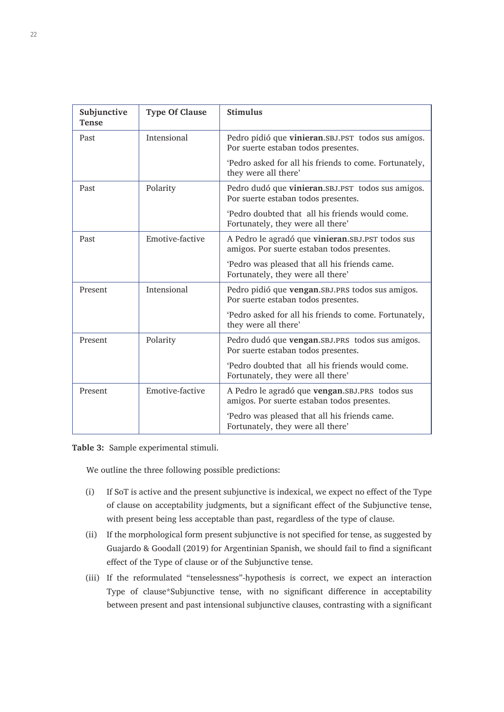| Subjunctive<br><b>Tense</b> | <b>Type Of Clause</b> | <b>Stimulus</b>                                                                                   |
|-----------------------------|-----------------------|---------------------------------------------------------------------------------------------------|
| Past                        | Intensional           | Pedro pidió que vinieran. SBJ. PST todos sus amigos.<br>Por suerte estaban todos presentes.       |
|                             |                       | 'Pedro asked for all his friends to come. Fortunately,<br>they were all there'                    |
| Past                        | Polarity              | Pedro dudó que vinieran. SBJ. PST todos sus amigos.<br>Por suerte estaban todos presentes.        |
|                             |                       | 'Pedro doubted that all his friends would come.<br>Fortunately, they were all there'              |
| Past                        | Emotive-factive       | A Pedro le agradó que vinieran. SBJ. PST todos sus<br>amigos. Por suerte estaban todos presentes. |
|                             |                       | 'Pedro was pleased that all his friends came.<br>Fortunately, they were all there'                |
| Present                     | Intensional           | Pedro pidió que vengan. SBJ. PRS todos sus amigos.<br>Por suerte estaban todos presentes.         |
|                             |                       | 'Pedro asked for all his friends to come. Fortunately,<br>they were all there'                    |
| Present                     | Polarity              | Pedro dudó que vengan. SBJ. PRS todos sus amigos.<br>Por suerte estaban todos presentes.          |
|                             |                       | 'Pedro doubted that all his friends would come.<br>Fortunately, they were all there'              |
| Present                     | Emotive-factive       | A Pedro le agradó que vengan. SBJ. PRS todos sus<br>amigos. Por suerte estaban todos presentes.   |
|                             |                       | 'Pedro was pleased that all his friends came.<br>Fortunately, they were all there'                |

**Table 3:** Sample experimental stimuli.

We outline the three following possible predictions:

- (i) If SoT is active and the present subjunctive is indexical, we expect no effect of the Type of clause on acceptability judgments, but a significant effect of the Subjunctive tense, with present being less acceptable than past, regardless of the type of clause.
- (ii) If the morphological form present subjunctive is not specified for tense, as suggested by Guajardo & Goodall (2019) for Argentinian Spanish, we should fail to find a significant effect of the Type of clause or of the Subjunctive tense.
- (iii) If the reformulated "tenselessness"-hypothesis is correct, we expect an interaction Type of clause\*Subjunctive tense, with no significant difference in acceptability between present and past intensional subjunctive clauses, contrasting with a significant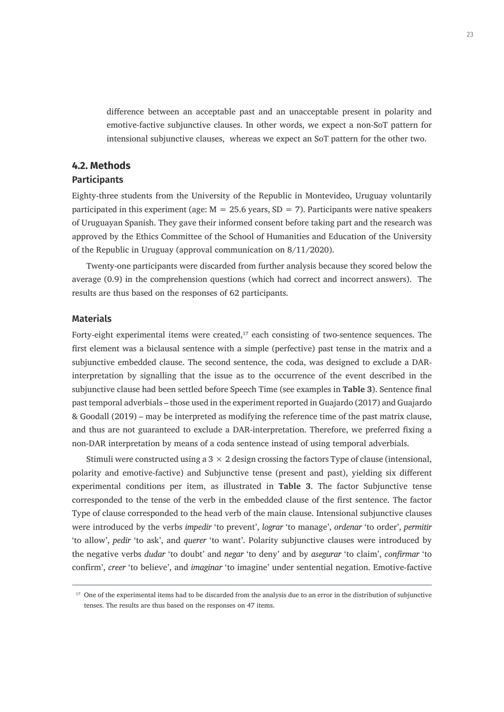difference between an acceptable past and an unacceptable present in polarity and emotive-factive subjunctive clauses. In other words, we expect a non-SoT pattern for intensional subjunctive clauses, whereas we expect an SoT pattern for the other two.

#### **4.2. Methods Participants**

Eighty-three students from the University of the Republic in Montevideo, Uruguay voluntarily participated in this experiment (age:  $M = 25.6$  years, SD = 7). Participants were native speakers of Uruguayan Spanish. They gave their informed consent before taking part and the research was approved by the Ethics Committee of the School of Humanities and Education of the University of the Republic in Uruguay (approval communication on 8/11/2020).

Twenty-one participants were discarded from further analysis because they scored below the average (0.9) in the comprehension questions (which had correct and incorrect answers). The results are thus based on the responses of 62 participants.

#### **Materials**

Forty-eight experimental items were created, $17$  each consisting of two-sentence sequences. The first element was a biclausal sentence with a simple (perfective) past tense in the matrix and a subjunctive embedded clause. The second sentence, the coda, was designed to exclude a DARinterpretation by signalling that the issue as to the occurrence of the event described in the subjunctive clause had been settled before Speech Time (see examples in **Table 3**). Sentence final past temporal adverbials – those used in the experiment reported in Guajardo (2017) and Guajardo & Goodall (2019) – may be interpreted as modifying the reference time of the past matrix clause, and thus are not guaranteed to exclude a DAR-interpretation. Therefore, we preferred fixing a non-DAR interpretation by means of a coda sentence instead of using temporal adverbials.

Stimuli were constructed using a  $3 \times 2$  design crossing the factors Type of clause (intensional, polarity and emotive-factive) and Subjunctive tense (present and past), yielding six different experimental conditions per item, as illustrated in **Table 3**. The factor Subjunctive tense corresponded to the tense of the verb in the embedded clause of the first sentence. The factor Type of clause corresponded to the head verb of the main clause. Intensional subjunctive clauses were introduced by the verbs *impedir* 'to prevent', *lograr* 'to manage', *ordenar* 'to order', *permitir*  'to allow', *pedir* 'to ask', and *querer* 'to want'. Polarity subjunctive clauses were introduced by the negative verbs *dudar* 'to doubt' and *negar* 'to deny' and by *asegurar* 'to claim', *confirmar* 'to confirm', *creer* 'to believe', and *imaginar* 'to imagine' under sentential negation. Emotive-factive

<sup>&</sup>lt;sup>17</sup> One of the experimental items had to be discarded from the analysis due to an error in the distribution of subjunctive tenses. The results are thus based on the responses on 47 items.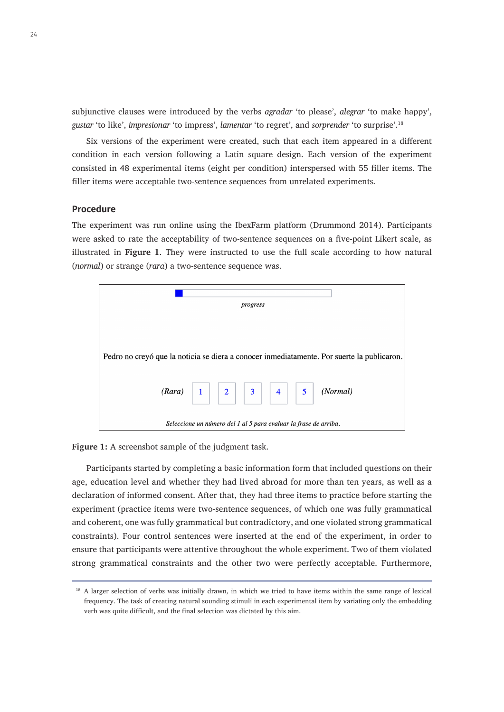subjunctive clauses were introduced by the verbs *agradar* 'to please', *alegrar* 'to make happy', *gustar* 'to like', *impresionar* 'to impress', *lamentar* 'to regret', and *sorprender* 'to surprise'.<sup>18</sup>

Six versions of the experiment were created, such that each item appeared in a different condition in each version following a Latin square design. Each version of the experiment consisted in 48 experimental items (eight per condition) interspersed with 55 filler items. The filler items were acceptable two-sentence sequences from unrelated experiments.

#### **Procedure**

The experiment was run online using the IbexFarm platform (Drummond 2014). Participants were asked to rate the acceptability of two-sentence sequences on a five-point Likert scale, as illustrated in **Figure 1**. They were instructed to use the full scale according to how natural (*normal*) or strange (*rara*) a two-sentence sequence was.



**Figure 1:** A screenshot sample of the judgment task.

Participants started by completing a basic information form that included questions on their age, education level and whether they had lived abroad for more than ten years, as well as a declaration of informed consent. After that, they had three items to practice before starting the experiment (practice items were two-sentence sequences, of which one was fully grammatical and coherent, one was fully grammatical but contradictory, and one violated strong grammatical constraints). Four control sentences were inserted at the end of the experiment, in order to ensure that participants were attentive throughout the whole experiment. Two of them violated strong grammatical constraints and the other two were perfectly acceptable. Furthermore,

<sup>&</sup>lt;sup>18</sup> A larger selection of verbs was initially drawn, in which we tried to have items within the same range of lexical frequency. The task of creating natural sounding stimuli in each experimental item by variating only the embedding verb was quite difficult, and the final selection was dictated by this aim.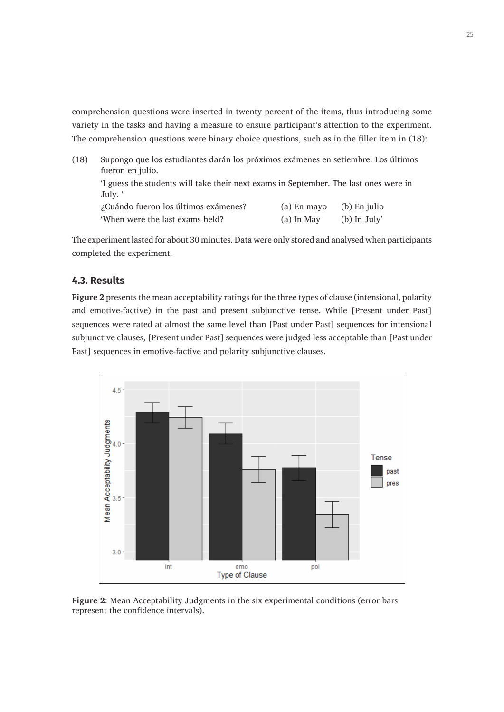comprehension questions were inserted in twenty percent of the items, thus introducing some variety in the tasks and having a measure to ensure participant's attention to the experiment. The comprehension questions were binary choice questions, such as in the filler item in (18):

| (18) | Supongo que los estudiantes darán los próximos exámenes en setiembre. Los últimos<br>fueron en julio. |              |                |  |  |
|------|-------------------------------------------------------------------------------------------------------|--------------|----------------|--|--|
|      | 'I guess the students will take their next exams in September. The last ones were in<br>July. '       |              |                |  |  |
|      | ¿Cuándo fueron los últimos exámenes?                                                                  | (a) En mayo  | (b) En julio   |  |  |
|      | 'When were the last exams held?                                                                       | $(a)$ In May | $(b)$ In July' |  |  |

The experiment lasted for about 30 minutes. Data were only stored and analysed when participants completed the experiment.

#### **4.3. Results**

**Figure 2** presents the mean acceptability ratings for the three types of clause (intensional, polarity and emotive-factive) in the past and present subjunctive tense. While [Present under Past] sequences were rated at almost the same level than [Past under Past] sequences for intensional subjunctive clauses, [Present under Past] sequences were judged less acceptable than [Past under Past] sequences in emotive-factive and polarity subjunctive clauses.



**Figure 2**: Mean Acceptability Judgments in the six experimental conditions (error bars represent the confidence intervals).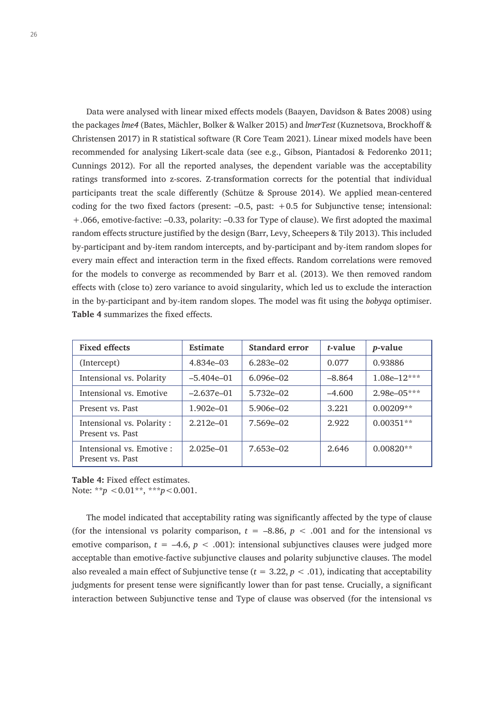Data were analysed with linear mixed effects models (Baayen, Davidson & Bates 2008) using the packages *lme4* (Bates, Mächler, Bolker & Walker 2015) and *lmerTest* (Kuznetsova, Brockhoff & Christensen 2017) in R statistical software (R Core Team 2021). Linear mixed models have been recommended for analysing Likert-scale data (see e.g., Gibson, Piantadosi & Fedorenko 2011; Cunnings 2012). For all the reported analyses, the dependent variable was the acceptability ratings transformed into z-scores. Z-transformation corrects for the potential that individual participants treat the scale differently (Schütze & Sprouse 2014). We applied mean-centered coding for the two fixed factors (present:  $-0.5$ , past:  $+0.5$  for Subjunctive tense; intensional: +.066, emotive-factive: –0.33, polarity: –0.33 for Type of clause). We first adopted the maximal random effects structure justified by the design (Barr, Levy, Scheepers & Tily 2013). This included by-participant and by-item random intercepts, and by-participant and by-item random slopes for every main effect and interaction term in the fixed effects. Random correlations were removed for the models to converge as recommended by Barr et al. (2013). We then removed random effects with (close to) zero variance to avoid singularity, which led us to exclude the interaction in the by-participant and by-item random slopes. The model was fit using the *bobyqa* optimiser. **Table 4** summarizes the fixed effects.

| <b>Fixed effects</b>                          | <b>Estimate</b> | <b>Standard error</b> | t-value  | <i>p</i> -value |
|-----------------------------------------------|-----------------|-----------------------|----------|-----------------|
| (Intercept)                                   | 4.834e-03       | $6.283e - 02$         | 0.077    | 0.93886         |
| Intensional vs. Polarity                      | $-5.404e-01$    | $6.096e - 02$         | $-8.864$ | $1.08e-12***$   |
| Intensional vs. Emotive                       | $-2.637e-01$    | $5.732e - 02$         | $-4.600$ | $2.98e - 05***$ |
| Present vs. Past                              | $1.902e - 01$   | $5.906e - 02$         | 3.221    | $0.00209**$     |
| Intensional vs. Polarity:<br>Present vs. Past | $2.212e - 01$   | 7.569e-02             | 2.922    | $0.00351**$     |
| Intensional vs. Emotive :<br>Present vs. Past | $2.025e - 01$   | $7.653e - 02$         | 2.646    | $0.00820**$     |

**Table 4:** Fixed effect estimates. Note: \*\**p* <0.01\*\*, \*\*\**p*<0.001.

The model indicated that acceptability rating was significantly affected by the type of clause (for the intensional vs polarity comparison,  $t = -8.86$ ,  $p < .001$  and for the intensional vs emotive comparison,  $t = -4.6$ ,  $p < .001$ ): intensional subjunctives clauses were judged more acceptable than emotive-factive subjunctive clauses and polarity subjunctive clauses. The model also revealed a main effect of Subjunctive tense  $(t = 3.22, p < .01)$ , indicating that acceptability judgments for present tense were significantly lower than for past tense. Crucially, a significant interaction between Subjunctive tense and Type of clause was observed (for the intensional vs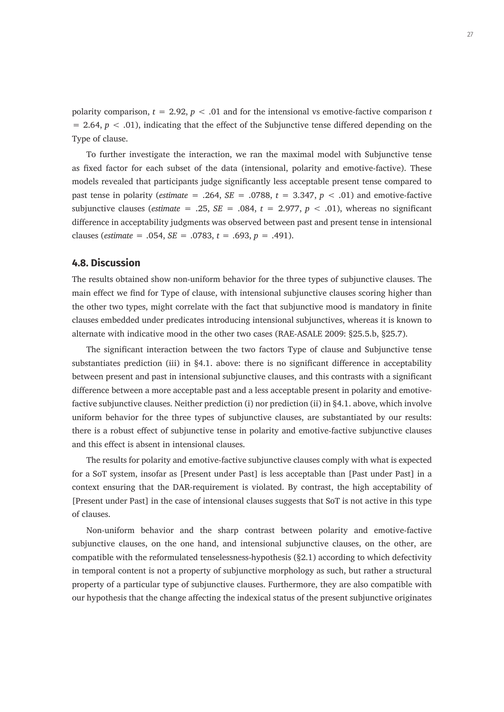polarity comparison,  $t = 2.92$ ,  $p < .01$  and for the intensional vs emotive-factive comparison *t*  $= 2.64, p < .01$ ), indicating that the effect of the Subjunctive tense differed depending on the Type of clause.

To further investigate the interaction, we ran the maximal model with Subjunctive tense as fixed factor for each subset of the data (intensional, polarity and emotive-factive). These models revealed that participants judge significantly less acceptable present tense compared to past tense in polarity (*estimate* = .264,  $SE = .0788$ ,  $t = 3.347$ ,  $p < .01$ ) and emotive-factive subjunctive clauses (*estimate* = .25,  $SE = .084$ ,  $t = 2.977$ ,  $p < .01$ ), whereas no significant difference in acceptability judgments was observed between past and present tense in intensional clauses (*estimate* = .054,  $SE = .0783$ ,  $t = .693$ ,  $p = .491$ ).

#### **4.8. Discussion**

The results obtained show non-uniform behavior for the three types of subjunctive clauses. The main effect we find for Type of clause, with intensional subjunctive clauses scoring higher than the other two types, might correlate with the fact that subjunctive mood is mandatory in finite clauses embedded under predicates introducing intensional subjunctives, whereas it is known to alternate with indicative mood in the other two cases (RAE-ASALE 2009: §25.5.b, §25.7).

The significant interaction between the two factors Type of clause and Subjunctive tense substantiates prediction (iii) in §4.1. above: there is no significant difference in acceptability between present and past in intensional subjunctive clauses, and this contrasts with a significant difference between a more acceptable past and a less acceptable present in polarity and emotivefactive subjunctive clauses. Neither prediction (i) nor prediction (ii) in §4.1. above, which involve uniform behavior for the three types of subjunctive clauses, are substantiated by our results: there is a robust effect of subjunctive tense in polarity and emotive-factive subjunctive clauses and this effect is absent in intensional clauses.

The results for polarity and emotive-factive subjunctive clauses comply with what is expected for a SoT system, insofar as [Present under Past] is less acceptable than [Past under Past] in a context ensuring that the DAR-requirement is violated. By contrast, the high acceptability of [Present under Past] in the case of intensional clauses suggests that SoT is not active in this type of clauses.

Non-uniform behavior and the sharp contrast between polarity and emotive-factive subjunctive clauses, on the one hand, and intensional subjunctive clauses, on the other, are compatible with the reformulated tenselessness-hypothesis (§2.1) according to which defectivity in temporal content is not a property of subjunctive morphology as such, but rather a structural property of a particular type of subjunctive clauses. Furthermore, they are also compatible with our hypothesis that the change affecting the indexical status of the present subjunctive originates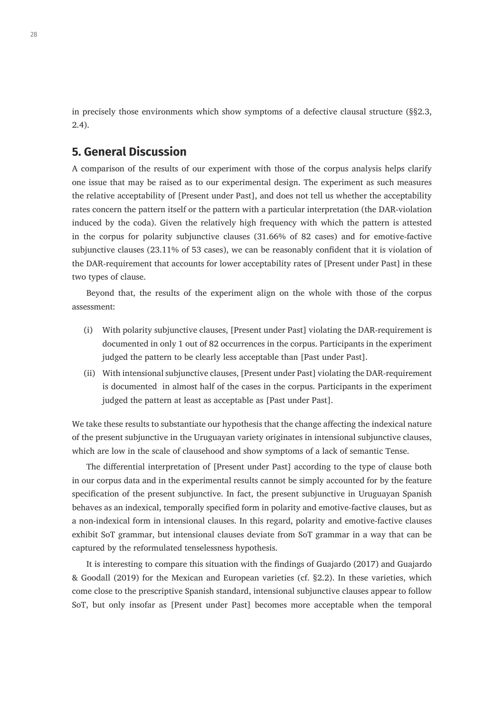in precisely those environments which show symptoms of a defective clausal structure (§§2.3, 2.4).

# **5. General Discussion**

A comparison of the results of our experiment with those of the corpus analysis helps clarify one issue that may be raised as to our experimental design. The experiment as such measures the relative acceptability of [Present under Past], and does not tell us whether the acceptability rates concern the pattern itself or the pattern with a particular interpretation (the DAR-violation induced by the coda). Given the relatively high frequency with which the pattern is attested in the corpus for polarity subjunctive clauses (31.66% of 82 cases) and for emotive-factive subjunctive clauses (23.11% of 53 cases), we can be reasonably confident that it is violation of the DAR-requirement that accounts for lower acceptability rates of [Present under Past] in these two types of clause.

Beyond that, the results of the experiment align on the whole with those of the corpus assessment:

- (i) With polarity subjunctive clauses, [Present under Past] violating the DAR-requirement is documented in only 1 out of 82 occurrences in the corpus. Participants in the experiment judged the pattern to be clearly less acceptable than [Past under Past].
- (ii) With intensional subjunctive clauses, [Present under Past] violating the DAR-requirement is documented in almost half of the cases in the corpus. Participants in the experiment judged the pattern at least as acceptable as [Past under Past].

We take these results to substantiate our hypothesis that the change affecting the indexical nature of the present subjunctive in the Uruguayan variety originates in intensional subjunctive clauses, which are low in the scale of clausehood and show symptoms of a lack of semantic Tense.

The differential interpretation of [Present under Past] according to the type of clause both in our corpus data and in the experimental results cannot be simply accounted for by the feature specification of the present subjunctive. In fact, the present subjunctive in Uruguayan Spanish behaves as an indexical, temporally specified form in polarity and emotive-factive clauses, but as a non-indexical form in intensional clauses. In this regard, polarity and emotive-factive clauses exhibit SoT grammar, but intensional clauses deviate from SoT grammar in a way that can be captured by the reformulated tenselessness hypothesis.

It is interesting to compare this situation with the findings of Guajardo (2017) and Guajardo & Goodall (2019) for the Mexican and European varieties (cf. §2.2). In these varieties, which come close to the prescriptive Spanish standard, intensional subjunctive clauses appear to follow SoT, but only insofar as [Present under Past] becomes more acceptable when the temporal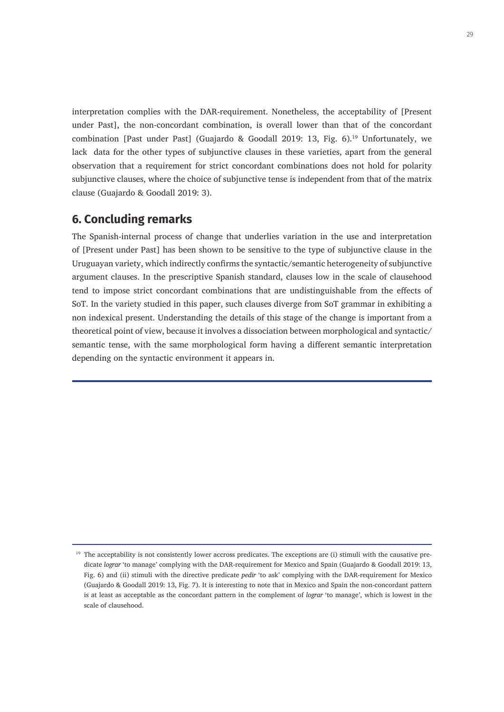interpretation complies with the DAR-requirement. Nonetheless, the acceptability of [Present under Past], the non-concordant combination, is overall lower than that of the concordant combination [Past under Past] (Guajardo & Goodall 2019: 13, Fig. 6).<sup>19</sup> Unfortunately, we lack data for the other types of subjunctive clauses in these varieties, apart from the general observation that a requirement for strict concordant combinations does not hold for polarity subjunctive clauses, where the choice of subjunctive tense is independent from that of the matrix clause (Guajardo & Goodall 2019: 3).

# **6. Concluding remarks**

The Spanish-internal process of change that underlies variation in the use and interpretation of [Present under Past] has been shown to be sensitive to the type of subjunctive clause in the Uruguayan variety, which indirectly confirms the syntactic/semantic heterogeneity of subjunctive argument clauses. In the prescriptive Spanish standard, clauses low in the scale of clausehood tend to impose strict concordant combinations that are undistinguishable from the effects of SoT. In the variety studied in this paper, such clauses diverge from SoT grammar in exhibiting a non indexical present. Understanding the details of this stage of the change is important from a theoretical point of view, because it involves a dissociation between morphological and syntactic/ semantic tense, with the same morphological form having a different semantic interpretation depending on the syntactic environment it appears in.

 $19$  The acceptability is not consistently lower accross predicates. The exceptions are (i) stimuli with the causative predicate *lograr* 'to manage' complying with the DAR-requirement for Mexico and Spain (Guajardo & Goodall 2019: 13, Fig. 6) and (ii) stimuli with the directive predicate *pedir* 'to ask' complying with the DAR-requirement for Mexico (Guajardo & Goodall 2019: 13, Fig. 7). It is interesting to note that in Mexico and Spain the non-concordant pattern is at least as acceptable as the concordant pattern in the complement of *lograr* 'to manage', which is lowest in the scale of clausehood.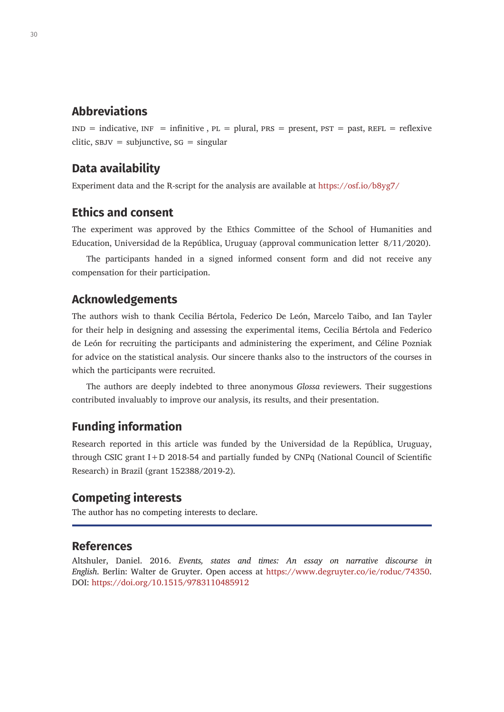# **Abbreviations**

 $IND = indicateive, INF = infinitive, PL = plural, PRs = present, PST = past, REFL = reflexive$ clitic,  $SBJV = subjunctive, SG = singular$ 

# **Data availability**

Experiment data and the R-script for the analysis are available at<https://osf.io/b8yg7/>

# **Ethics and consent**

The experiment was approved by the Ethics Committee of the School of Humanities and Education, Universidad de la República, Uruguay (approval communication letter 8/11/2020).

The participants handed in a signed informed consent form and did not receive any compensation for their participation.

#### **Acknowledgements**

The authors wish to thank Cecilia Bértola, Federico De León, Marcelo Taibo, and Ian Tayler for their help in designing and assessing the experimental items, Cecilia Bértola and Federico de León for recruiting the participants and administering the experiment, and Céline Pozniak for advice on the statistical analysis. Our sincere thanks also to the instructors of the courses in which the participants were recruited.

The authors are deeply indebted to three anonymous *Glossa* reviewers. Their suggestions contributed invaluably to improve our analysis, its results, and their presentation.

# **Funding information**

Research reported in this article was funded by the Universidad de la República, Uruguay, through CSIC grant I+D 2018-54 and partially funded by CNPq (National Council of Scientific Research) in Brazil (grant 152388/2019-2).

# **Competing interests**

The author has no competing interests to declare.

#### **References**

Altshuler, Daniel. 2016. *Events, states and times: An essay on narrative discourse in English*. Berlin: Walter de Gruyter. Open access at <https://www.degruyter.co/ie/roduc/74350>. DOI:<https://doi.org/10.1515/9783110485912>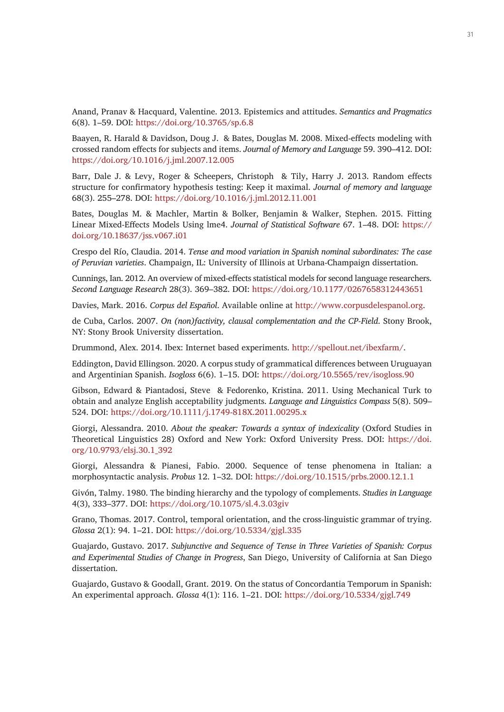Anand, Pranav & Hacquard, Valentine. 2013. Epistemics and attitudes. *Semantics and Pragmatics* 6(8). 1–59. DOI:<https://doi.org/10.3765/sp.6.8>

Baayen, R. Harald & Davidson, Doug J. & Bates, Douglas M. 2008. Mixed-effects modeling with crossed random effects for subjects and items. *Journal of Memory and Language* 59. 390–412. DOI: <https://doi.org/10.1016/j.jml.2007.12.005>

Barr, Dale J. & Levy, Roger & Scheepers, Christoph & Tily, Harry J. 2013. Random effects structure for confirmatory hypothesis testing: Keep it maximal. *Journal of memory and language* 68(3). 255–278. DOI: <https://doi.org/10.1016/j.jml.2012.11.001>

Bates, Douglas M. & Machler, Martin & Bolker, Benjamin & Walker, Stephen. 2015. Fitting Linear Mixed-Effects Models Using lme4. *Journal of Statistical Software* 67. 1–48. DOI: [https://](https://doi.org/10.18637/jss.v067.i01) [doi.org/10.18637/jss.v067.i01](https://doi.org/10.18637/jss.v067.i01)

Crespo del Río, Claudia. 2014. *Tense and mood variation in Spanish nominal subordinates: The case of Peruvian varieties*. Champaign, IL: University of Illinois at Urbana-Champaign dissertation.

Cunnings, Ian. 2012. An overview of mixed-effects statistical models for second language researchers. *Second Language Research* 28(3). 369–382. DOI: <https://doi.org/10.1177/0267658312443651>

Davies, Mark. 2016. *Corpus del Español*. Available online at [http://www.corpusdelespanol.org.](http://www.corpusdelespanol.org)

de Cuba, Carlos. 2007. *On (non)factivity, clausal complementation and the CP-Field*. Stony Brook, NY: Stony Brook University dissertation.

Drummond, Alex. 2014. Ibex: Internet based experiments. [http://spellout.net/ibexfarm/.](http://spellout.net/ibexfarm/)

Eddington, David Ellingson. 2020. A corpus study of grammatical differences between Uruguayan and Argentinian Spanish. *Isogloss* 6(6). 1–15. DOI:<https://doi.org/10.5565/rev/isogloss.90>

Gibson, Edward & Piantadosi, Steve & Fedorenko, Kristina. 2011. Using Mechanical Turk to obtain and analyze English acceptability judgments. *Language and Linguistics Compass* 5(8). 509– 524. DOI: <https://doi.org/10.1111/j.1749-818X.2011.00295.x>

Giorgi, Alessandra. 2010. *About the speaker: Towards a syntax of indexicality* (Oxford Studies in Theoretical Linguistics 28) Oxford and New York: Oxford University Press. DOI: [https://doi.](https://doi.org/10.9793/elsj.30.1_392) [org/10.9793/elsj.30.1\\_392](https://doi.org/10.9793/elsj.30.1_392)

Giorgi, Alessandra & Pianesi, Fabio. 2000. Sequence of tense phenomena in Italian: a morphosyntactic analysis. *Probus* 12. 1–32. DOI: <https://doi.org/10.1515/prbs.2000.12.1.1>

Givón, Talmy. 1980. The binding hierarchy and the typology of complements. *Studies in Language* 4(3), 333–377. DOI:<https://doi.org/10.1075/sl.4.3.03giv>

Grano, Thomas. 2017. Control, temporal orientation, and the cross-linguistic grammar of trying. *Glossa* 2(1): 94. 1–21. DOI: <https://doi.org/10.5334/gjgl.335>

Guajardo, Gustavo. 2017. *Subjunctive and Sequence of Tense in Three Varieties of Spanish: Corpus and Experimental Studies of Change in Progress*, San Diego, University of California at San Diego dissertation.

Guajardo, Gustavo & Goodall, Grant. 2019. On the status of Concordantia Temporum in Spanish: An experimental approach. *Glossa* 4(1): 116. 1–21. DOI:<https://doi.org/10.5334/gjgl.749>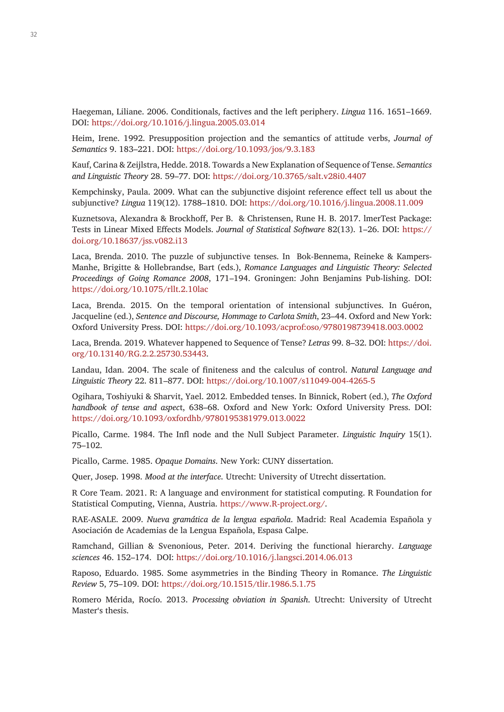Haegeman, Liliane. 2006. Conditionals, factives and the left periphery. *Lingua* 116. 1651–1669. DOI:<https://doi.org/10.1016/j.lingua.2005.03.014>

Heim, Irene. 1992. Presupposition projection and the semantics of attitude verbs, *Journal of Semantics* 9. 183–221. DOI: <https://doi.org/10.1093/jos/9.3.183>

Kauf, Carina & Zeijlstra, Hedde. 2018. Towards a New Explanation of Sequence of Tense. *Semantics and Linguistic Theory* 28. 59–77. DOI: <https://doi.org/10.3765/salt.v28i0.4407>

Kempchinsky, Paula. 2009. What can the subjunctive disjoint reference effect tell us about the subjunctive? *Lingua* 119(12). 1788–1810. DOI:<https://doi.org/10.1016/j.lingua.2008.11.009>

Kuznetsova, Alexandra & Brockhoff, Per B. & Christensen, Rune H. B. 2017. lmerTest Package: Tests in Linear Mixed Effects Models. *Journal of Statistical Software* 82(13). 1–26. DOI: [https://](https://doi.org/10.18637/jss.v082.i13) [doi.org/10.18637/jss.v082.i13](https://doi.org/10.18637/jss.v082.i13)

Laca, Brenda. 2010. The puzzle of subjunctive tenses. In Bok-Bennema, Reineke & Kampers-Manhe, Brigitte & Hollebrandse, Bart (eds.), *Romance Languages and Linguistic Theory: Selected Proceedings of Going Romance 2008*, 171–194. Groningen: John Benjamins Pub-lishing. DOI: <https://doi.org/10.1075/rllt.2.10lac>

Laca, Brenda. 2015. On the temporal orientation of intensional subjunctives. In Guéron, Jacqueline (ed.), *Sentence and Discourse, Hommage to Carlota Smith*, 23–44. Oxford and New York: Oxford University Press. DOI: <https://doi.org/10.1093/acprof:oso/9780198739418.003.0002>

Laca, Brenda. 2019. Whatever happened to Sequence of Tense? *Letras* 99. 8–32. DOI: [https://doi.](https://doi.org/10.13140/RG.2.2.25730.53443) [org/10.13140/RG.2.2.25730.53443.](https://doi.org/10.13140/RG.2.2.25730.53443)

Landau, Idan. 2004. The scale of finiteness and the calculus of control. *Natural Language and Linguistic Theory* 22. 811–877. DOI:<https://doi.org/10.1007/s11049-004-4265-5>

Ogihara, Toshiyuki & Sharvit, Yael. 2012. Embedded tenses. In Binnick, Robert (ed.), *The Oxford handbook of tense and aspec*t, 638–68. Oxford and New York: Oxford University Press. DOI: <https://doi.org/10.1093/oxfordhb/9780195381979.013.0022>

Picallo, Carme. 1984. The Infl node and the Null Subject Parameter. *Linguistic Inquiry* 15(1). 75–102.

Picallo, Carme. 1985. *Opaque Domains*. New York: CUNY dissertation.

Quer, Josep. 1998. *Mood at the interface*. Utrecht: University of Utrecht dissertation.

R Core Team. 2021. R: A language and environment for statistical computing. R Foundation for Statistical Computing, Vienna, Austria. [https://www.R-project.org/.](https://www.R-project.org/)

RAE-ASALE. 2009. *Nueva gramática de la lengua española*. Madrid: Real Academia Española y Asociación de Academias de la Lengua Española, Espasa Calpe.

Ramchand, Gillian & Svenonious, Peter. 2014. Deriving the functional hierarchy. *Language sciences* 46. 152–174. DOI:<https://doi.org/10.1016/j.langsci.2014.06.013>

Raposo, Eduardo. 1985. Some asymmetries in the Binding Theory in Romance. *The Linguistic Review* 5, 75–109. DOI: <https://doi.org/10.1515/tlir.1986.5.1.75>

Romero Mérida, Rocío. 2013. *Processing obviation in Spanish*. Utrecht: University of Utrecht Master's thesis.